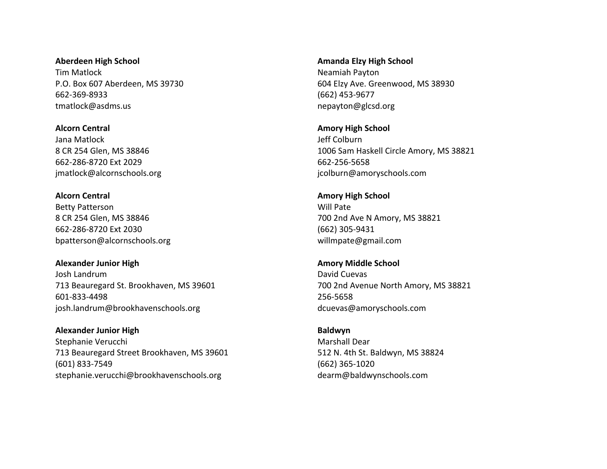**Aberdeen High School** Tim Matlock P.O. Box 607 Aberdeen, MS 39730 662-369-8933 tmatlock@asdms.us

**Alcorn Central** Jana Matlock 8 CR 254 Glen, MS 38846 662-286-8720 Ext 2029 jmatlock@alcornschools.org

**Alcorn Central** Betty Patterson 8 CR 254 Glen, MS 38846 662-286-8720 Ext 2030 bpatterson@alcornschools.org

**Alexander Junior High** Josh Landrum 713 Beauregard St. Brookhaven, MS 39601 601-833-4498 josh.landrum@brookhavenschools.org

**Alexander Junior High** Stephanie Verucchi 713 Beauregard Street Brookhaven, MS 39601 (601) 833-7549 stephanie.verucchi@brookhavenschools.org

**Amanda Elzy High School** Neamiah Payton 604 Elzy Ave. Greenwood, MS 38930 (662) 453-9677 nepayton@glcsd.org

**Amory High School** Jeff Colburn 1006 Sam Haskell Circle Amory, MS 38821 662-256-5658 jcolburn@amoryschools.com

**Amory High School** Will Pate 700 2nd Ave N Amory, MS 38821 (662) 305-9431 willmpate@gmail.com

**Amory Middle School** David Cuevas 700 2nd Avenue North Amory, MS 38821 256-5658 dcuevas@amoryschools.com

**Baldwyn** Marshall Dear 512 N. 4th St. Baldwyn, MS 38824 (662) 365-1020 dearm@baldwynschools.com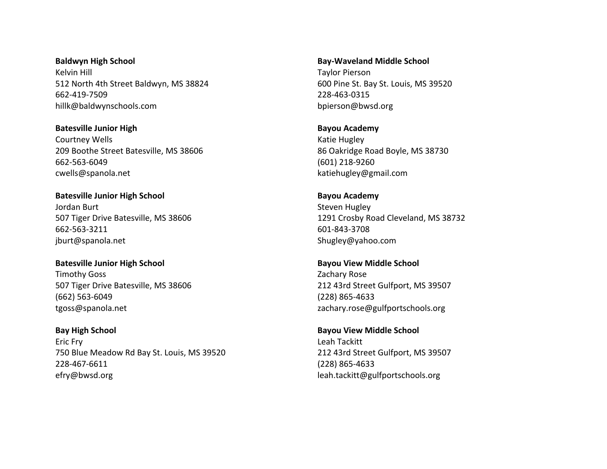**Baldwyn High School** Kelvin Hill 512 North 4th Street Baldwyn, MS 38824 662-419-7509 hillk@baldwynschools.com

**Batesville Junior High** Courtney Wells 209 Boothe Street Batesville, MS 38606 662-563-6049 cwells@spanola.net

**Batesville Junior High School** Jordan Burt 507 Tiger Drive Batesville, MS 38606 662-563-3211 jburt@spanola.net

**Batesville Junior High School** Timothy Goss 507 Tiger Drive Batesville, MS 38606 (662) 563-6049 tgoss@spanola.net

**Bay High School** Eric Fry 750 Blue Meadow Rd Bay St. Louis, MS 39520 228-467-6611 efry@bwsd.org

**Bay-Waveland Middle School** Taylor Pierson 600 Pine St. Bay St. Louis, MS 39520 228-463-0315 bpierson@bwsd.org

**Bayou Academy** Katie Hugley 86 Oakridge Road Boyle, MS 38730 (601) 218-9260 katiehugley@gmail.com

**Bayou Academy** Steven Hugley 1291 Crosby Road Cleveland, MS 38732 601-843-3708 Shugley@yahoo.com

**Bayou View Middle School** Zachary Rose 212 43rd Street Gulfport, MS 39507 (228) 865-4633 zachary.rose@gulfportschools.org

**Bayou View Middle School** Leah Tackitt 212 43rd Street Gulfport, MS 39507 (228) 865-4633 leah.tackitt@gulfportschools.org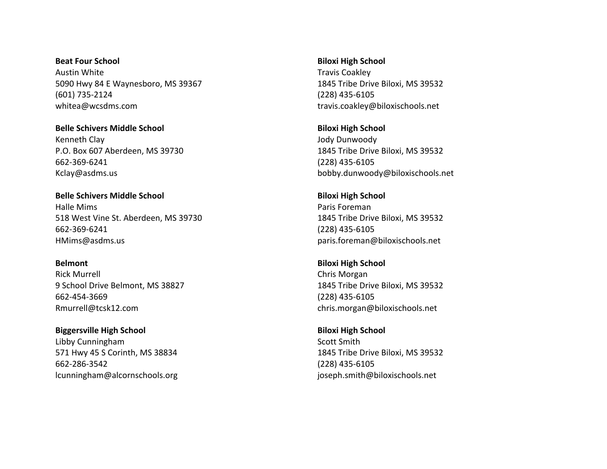**Beat Four School** Austin White 5090 Hwy 84 E Waynesboro, MS 39367 (601) 735-2124 whitea@wcsdms.com

**Belle Schivers Middle School** Kenneth Clay P.O. Box 607 Aberdeen, MS 39730 662-369-6241 Kclay@asdms.us

**Belle Schivers Middle School** Halle Mims 518 West Vine St. Aberdeen, MS 39730 662-369-6241 HMims@asdms.us

**Belmont** Rick Murrell 9 School Drive Belmont, MS 38827 662-454-3669 Rmurrell@tcsk12.com

**Biggersville High School** Libby Cunningham 571 Hwy 45 S Corinth, MS 38834 662-286-3542 lcunningham@alcornschools.org **Biloxi High School** Travis Coakley 1845 Tribe Drive Biloxi, MS 39532 (228) 435-6105 travis.coakley@biloxischools.net

**Biloxi High School** Jody Dunwoody 1845 Tribe Drive Biloxi, MS 39532 (228) 435-6105 bobby.dunwoody@biloxischools.net

**Biloxi High School** Paris Foreman 1845 Tribe Drive Biloxi, MS 39532 (228) 435-6105 paris.foreman@biloxischools.net

**Biloxi High School** Chris Morgan 1845 Tribe Drive Biloxi, MS 39532 (228) 435-6105 chris.morgan@biloxischools.net

**Biloxi High School** Scott Smith 1845 Tribe Drive Biloxi, MS 39532 (228) 435-6105 joseph.smith@biloxischools.net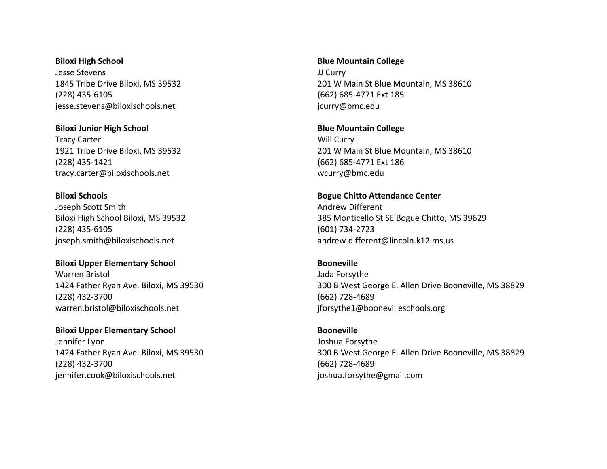**Biloxi High School** Jesse Stevens 1845 Tribe Drive Biloxi, MS 39532 (228) 435-6105 jesse.stevens@biloxischools.net

**Biloxi Junior High School** Tracy Carter 1921 Tribe Drive Biloxi, MS 39532 (228) 435-1421 tracy.carter@biloxischools.net

**Biloxi Schools** Joseph Scott Smith Biloxi High School Biloxi, MS 39532 (228) 435-6105 joseph.smith@biloxischools.net

**Biloxi Upper Elementary School** Warren Bristol 1424 Father Ryan Ave. Biloxi, MS 39530 (228) 432-3700 warren.bristol@biloxischools.net

**Biloxi Upper Elementary School** Jennifer Lyon 1424 Father Ryan Ave. Biloxi, MS 39530 (228) 432-3700 jennifer.cook@biloxischools.net

**Blue Mountain College**

JJ Curry 201 W Main St Blue Mountain, MS 38610 (662) 685-4771 Ext 185 jcurry@bmc.edu

**Blue Mountain College** Will Curry 201 W Main St Blue Mountain, MS 38610 (662) 685-4771 Ext 186 wcurry@bmc.edu

**Bogue Chitto Attendance Center** Andrew Different 385 Monticello St SE Bogue Chitto, MS 39629 (601) 734-2723 andrew.different@lincoln.k12.ms.us

**Booneville** Jada Forsythe 300 B West George E. Allen Drive Booneville, MS 38829 (662) 728-4689 jforsythe1@boonevilleschools.org

**Booneville** Joshua Forsythe 300 B West George E. Allen Drive Booneville, MS 38829 (662) 728-4689 joshua.forsythe@gmail.com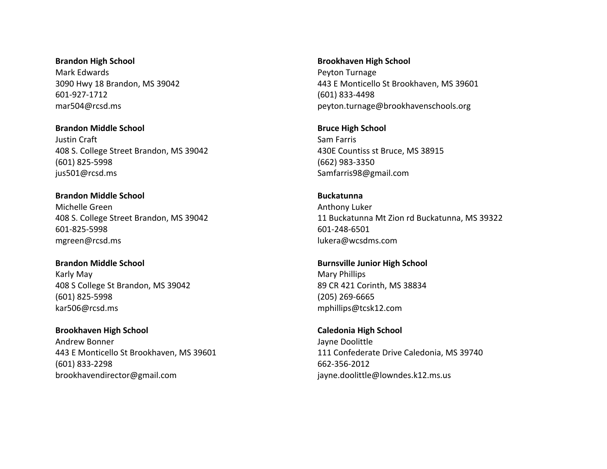**Brandon High School** Mark Edwards 3090 Hwy 18 Brandon, MS 39042 601-927-1712 mar504@rcsd.ms

**Brandon Middle School** Justin Craft 408 S. College Street Brandon, MS 39042 (601) 825-5998 jus501@rcsd.ms

**Brandon Middle School** Michelle Green 408 S. College Street Brandon, MS 39042 601-825-5998 mgreen@rcsd.ms

**Brandon Middle School** Karly May 408 S College St Brandon, MS 39042 (601) 825-5998 kar506@rcsd.ms

**Brookhaven High School** Andrew Bonner 443 E Monticello St Brookhaven, MS 39601 (601) 833-2298 brookhavendirector@gmail.com

**Brookhaven High School** Peyton Turnage 443 E Monticello St Brookhaven, MS 39601 (601) 833-4498 peyton.turnage@brookhavenschools.org

**Bruce High School** Sam Farris 430E Countiss st Bruce, MS 38915 (662) 983-3350 Samfarris98@gmail.com

**Buckatunna** Anthony Luker 11 Buckatunna Mt Zion rd Buckatunna, MS 39322 601-248-6501 lukera@wcsdms.com

**Burnsville Junior High School** Mary Phillips 89 CR 421 Corinth, MS 38834 (205) 269-6665 mphillips@tcsk12.com

**Caledonia High School** Jayne Doolittle 111 Confederate Drive Caledonia, MS 39740 662-356-2012 jayne.doolittle@lowndes.k12.ms.us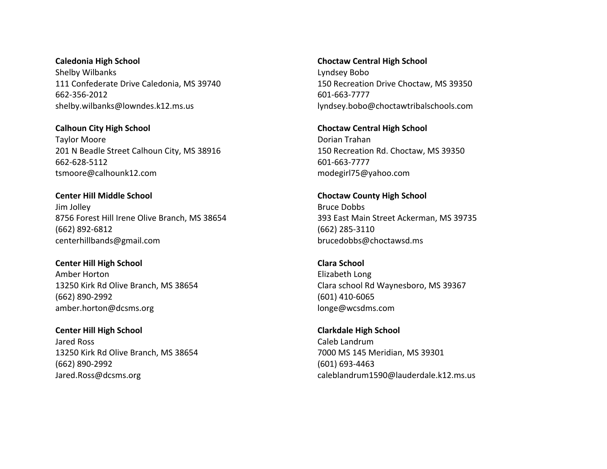**Caledonia High School** Shelby Wilbanks 111 Confederate Drive Caledonia, MS 39740 662-356-2012 shelby.wilbanks@lowndes.k12.ms.us

**Calhoun City High School** Taylor Moore 201 N Beadle Street Calhoun City, MS 38916 662-628-5112 tsmoore@calhounk12.com

**Center HiIl Middle School** Jim Jolley 8756 Forest Hill Irene Olive Branch, MS 38654 (662) 892-6812 centerhillbands@gmail.com

**Center Hill High School** Amber Horton 13250 Kirk Rd Olive Branch, MS 38654 (662) 890-2992 amber.horton@dcsms.org

**Center Hill High School** Jared Ross 13250 Kirk Rd Olive Branch, MS 38654 (662) 890-2992 Jared.Ross@dcsms.org

**Choctaw Central High School** Lyndsey Bobo 150 Recreation Drive Choctaw, MS 39350 601-663-7777 lyndsey.bobo@choctawtribalschools.com

**Choctaw Central High School** Dorian Trahan 150 Recreation Rd. Choctaw, MS 39350 601-663-7777 modegirl75@yahoo.com

**Choctaw County High School** Bruce Dobbs 393 East Main Street Ackerman, MS 39735 (662) 285-3110 brucedobbs@choctawsd.ms

**Clara School** Elizabeth Long Clara school Rd Waynesboro, MS 39367 (601) 410-6065 longe@wcsdms.com

**Clarkdale High School** Caleb Landrum 7000 MS 145 Meridian, MS 39301 (601) 693-4463 caleblandrum1590@lauderdale.k12.ms.us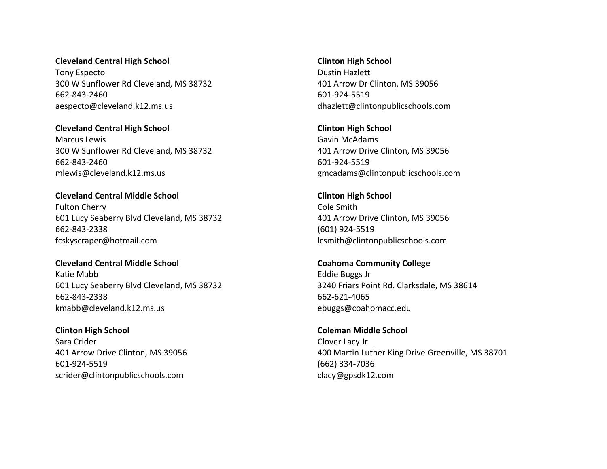### **Cleveland Central High School**

Tony Especto 300 W Sunflower Rd Cleveland, MS 38732 662-843-2460 aespecto@cleveland.k12.ms.us

**Cleveland Central High School** Marcus Lewis

300 W Sunflower Rd Cleveland, MS 38732 662-843-2460 mlewis@cleveland.k12.ms.us

**Cleveland Central Middle School** Fulton Cherry 601 Lucy Seaberry Blvd Cleveland, MS 38732 662-843-2338 fcskyscraper@hotmail.com

**Cleveland Central Middle School** Katie Mabb 601 Lucy Seaberry Blvd Cleveland, MS 38732 662-843-2338 kmabb@cleveland.k12.ms.us

**Clinton High School** Sara Crider 401 Arrow Drive Clinton, MS 39056 601-924-5519 scrider@clintonpublicschools.com

**Clinton High School** Dustin Hazlett 401 Arrow Dr Clinton, MS 39056 601-924-5519 dhazlett@clintonpublicschools.com

**Clinton High School** Gavin McAdams 401 Arrow Drive Clinton, MS 39056 601-924-5519 gmcadams@clintonpublicschools.com

**Clinton High School** Cole Smith 401 Arrow Drive Clinton, MS 39056 (601) 924-5519 lcsmith@clintonpublicschools.com

**Coahoma Community College** Eddie Buggs Jr 3240 Friars Point Rd. Clarksdale, MS 38614 662-621-4065 ebuggs@coahomacc.edu

**Coleman Middle School** Clover Lacy Jr 400 Martin Luther King Drive Greenville, MS 38701 (662) 334-7036 clacy@gpsdk12.com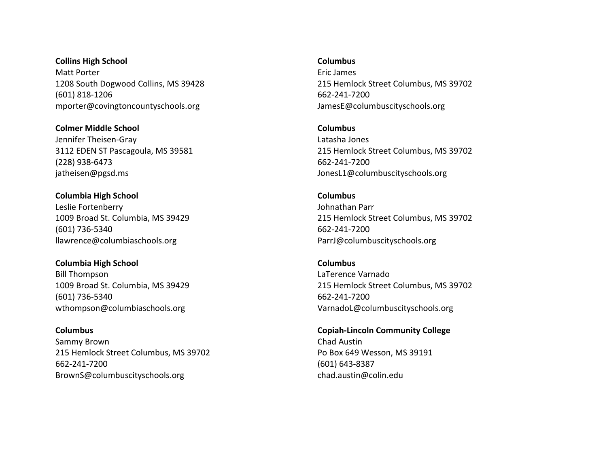**Collins High School** Matt Porter 1208 South Dogwood Collins, MS 39428 (601) 818-1206 mporter@covingtoncountyschools.org

**Colmer Middle School** Jennifer Theisen-Gray 3112 EDEN ST Pascagoula, MS 39581 (228) 938-6473 jatheisen@pgsd.ms

**Columbia High School** Leslie Fortenberry 1009 Broad St. Columbia, MS 39429 (601) 736-5340 llawrence@columbiaschools.org

**Columbia High School** Bill Thompson 1009 Broad St. Columbia, MS 39429 (601) 736-5340 wthompson@columbiaschools.org

**Columbus** Sammy Brown 215 Hemlock Street Columbus, MS 39702 662-241-7200 BrownS@columbuscityschools.org

**Columbus**

Eric James 215 Hemlock Street Columbus, MS 39702 662-241-7200 JamesE@columbuscityschools.org

**Columbus** Latasha Jones 215 Hemlock Street Columbus, MS 39702 662-241-7200 JonesL1@columbuscityschools.org

**Columbus** Johnathan Parr 215 Hemlock Street Columbus, MS 39702 662-241-7200 ParrJ@columbuscityschools.org

**Columbus** LaTerence Varnado 215 Hemlock Street Columbus, MS 39702 662-241-7200 VarnadoL@columbuscityschools.org

**Copiah-Lincoln Community College** Chad Austin Po Box 649 Wesson, MS 39191 (601) 643-8387 chad.austin@colin.edu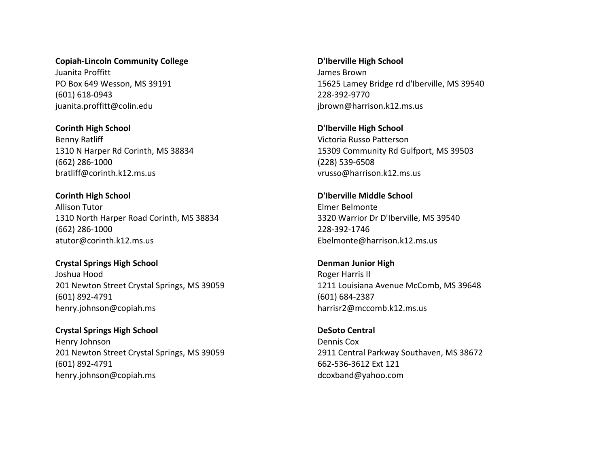**Copiah-Lincoln Community College** Juanita Proffitt PO Box 649 Wesson, MS 39191 (601) 618-0943 juanita.proffitt@colin.edu

**Corinth High School** Benny Ratliff 1310 N Harper Rd Corinth, MS 38834 (662) 286-1000 bratliff@corinth.k12.ms.us

**Corinth High School** Allison Tutor 1310 North Harper Road Corinth, MS 38834 (662) 286-1000 atutor@corinth.k12.ms.us

**Crystal Springs High School** Joshua Hood 201 Newton Street Crystal Springs, MS 39059 (601) 892-4791 henry.johnson@copiah.ms

**Crystal Springs High School** Henry Johnson 201 Newton Street Crystal Springs, MS 39059 (601) 892-4791 henry.johnson@copiah.ms

**D'Iberville High School** James Brown 15625 Lamey Bridge rd d'Iberville, MS 39540 228-392-9770 jbrown@harrison.k12.ms.us

**D'Iberville High School** Victoria Russo Patterson 15309 Community Rd Gulfport, MS 39503 (228) 539-6508 vrusso@harrison.k12.ms.us

**D'Iberville Middle School** Elmer Belmonte 3320 Warrior Dr D'Iberville, MS 39540 228-392-1746 Ebelmonte@harrison.k12.ms.us

**Denman Junior High** Roger Harris II 1211 Louisiana Avenue McComb, MS 39648 (601) 684-2387 harrisr2@mccomb.k12.ms.us

**DeSoto Central** Dennis Cox 2911 Central Parkway Southaven, MS 38672 662-536-3612 Ext 121 dcoxband@yahoo.com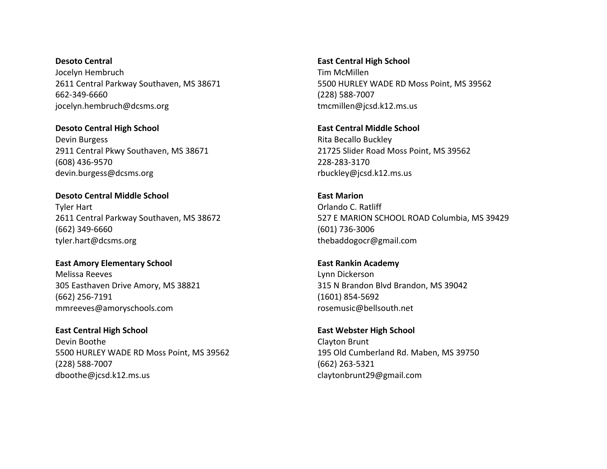**Desoto Central** Jocelyn Hembruch 2611 Central Parkway Southaven, MS 38671 662-349-6660 jocelyn.hembruch@dcsms.org

**Desoto Central High School** Devin Burgess 2911 Central Pkwy Southaven, MS 38671 (608) 436-9570 devin.burgess@dcsms.org

**Desoto Central Middle School** Tyler Hart 2611 Central Parkway Southaven, MS 38672 (662) 349-6660 tyler.hart@dcsms.org

**East Amory Elementary School** Melissa Reeves 305 Easthaven Drive Amory, MS 38821 (662) 256-7191 mmreeves@amoryschools.com

**East Central High School** Devin Boothe 5500 HURLEY WADE RD Moss Point, MS 39562 (228) 588-7007 dboothe@jcsd.k12.ms.us

**East Central High School** Tim McMillen 5500 HURLEY WADE RD Moss Point, MS 39562 (228) 588-7007 tmcmillen@jcsd.k12.ms.us

**East Central Middle School** Rita Becallo Buckley 21725 Slider Road Moss Point, MS 39562 228-283-3170 rbuckley@jcsd.k12.ms.us

**East Marion** Orlando C. Ratliff 527 E MARION SCHOOL ROAD Columbia, MS 39429 (601) 736-3006 thebaddogocr@gmail.com

**East Rankin Academy** Lynn Dickerson 315 N Brandon Blvd Brandon, MS 39042 (1601) 854-5692 rosemusic@bellsouth.net

**East Webster High School** Clayton Brunt 195 Old Cumberland Rd. Maben, MS 39750 (662) 263-5321 claytonbrunt29@gmail.com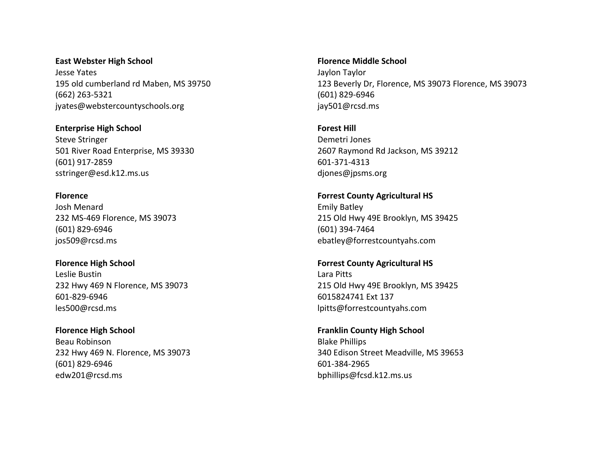**East Webster High School** Jesse Yates 195 old cumberland rd Maben, MS 39750 (662) 263-5321 jyates@webstercountyschools.org

**Enterprise High School** Steve Stringer 501 River Road Enterprise, MS 39330 (601) 917-2859 sstringer@esd.k12.ms.us

**Florence** Josh Menard 232 MS-469 Florence, MS 39073 (601) 829-6946 jos509@rcsd.ms

**Florence High School** Leslie Bustin 232 Hwy 469 N Florence, MS 39073 601-829-6946 les500@rcsd.ms

**Florence High School** Beau Robinson 232 Hwy 469 N. Florence, MS 39073 (601) 829-6946 edw201@rcsd.ms

**Florence Middle School** Jaylon Taylor 123 Beverly Dr, Florence, MS 39073 Florence, MS 39073 (601) 829-6946 jay501@rcsd.ms

**Forest Hill** Demetri Jones 2607 Raymond Rd Jackson, MS 39212 601-371-4313 djones@jpsms.org

**Forrest County Agricultural HS** Emily Batley 215 Old Hwy 49E Brooklyn, MS 39425 (601) 394-7464 ebatley@forrestcountyahs.com

**Forrest County Agricultural HS** Lara Pitts 215 Old Hwy 49E Brooklyn, MS 39425 6015824741 Ext 137 lpitts@forrestcountyahs.com

**Franklin County High School** Blake Phillips 340 Edison Street Meadville, MS 39653 601-384-2965 bphillips@fcsd.k12.ms.us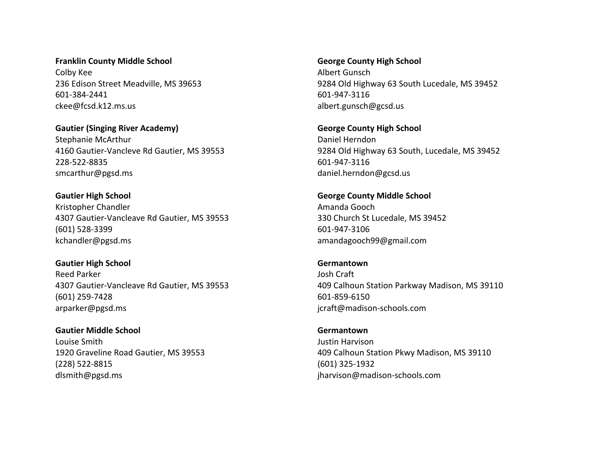**Franklin County Middle School** Colby Kee 236 Edison Street Meadville, MS 39653 601-384-2441 ckee@fcsd.k12.ms.us

**Gautier (Singing River Academy)** Stephanie McArthur 4160 Gautier-Vancleve Rd Gautier, MS 39553 228-522-8835 smcarthur@pgsd.ms

**Gautier High School** Kristopher Chandler 4307 Gautier-Vancleave Rd Gautier, MS 39553 (601) 528-3399 kchandler@pgsd.ms

**Gautier High School** Reed Parker 4307 Gautier-Vancleave Rd Gautier, MS 39553 (601) 259-7428 arparker@pgsd.ms

**Gautier Middle School** Louise Smith 1920 Graveline Road Gautier, MS 39553 (228) 522-8815 dlsmith@pgsd.ms

**George County High School** Albert Gunsch 9284 Old Highway 63 South Lucedale, MS 39452 601-947-3116 albert.gunsch@gcsd.us

**George County High School** Daniel Herndon 9284 Old Highway 63 South, Lucedale, MS 39452 601-947-3116 daniel.herndon@gcsd.us

**George County Middle School** Amanda Gooch 330 Church St Lucedale, MS 39452 601-947-3106 amandagooch99@gmail.com

**Germantown** Josh Craft 409 Calhoun Station Parkway Madison, MS 39110 601-859-6150 jcraft@madison-schools.com

**Germantown** Justin Harvison 409 Calhoun Station Pkwy Madison, MS 39110 (601) 325-1932 jharvison@madison-schools.com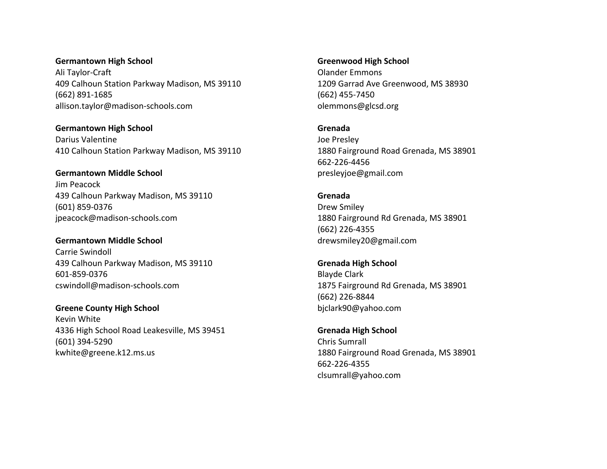**Germantown High School** Ali Taylor-Craft 409 Calhoun Station Parkway Madison, MS 39110 (662) 891-1685 allison.taylor@madison-schools.com

**Germantown High School** Darius Valentine 410 Calhoun Station Parkway Madison, MS 39110

**Germantown Middle School** Jim Peacock 439 Calhoun Parkway Madison, MS 39110 (601) 859-0376 jpeacock@madison-schools.com

**Germantown Middle School** Carrie Swindoll 439 Calhoun Parkway Madison, MS 39110 601-859-0376 cswindoll@madison-schools.com

**Greene County High School** Kevin White 4336 High School Road Leakesville, MS 39451 (601) 394-5290 kwhite@greene.k12.ms.us

**Greenwood High School** Olander Emmons 1209 Garrad Ave Greenwood, MS 38930 (662) 455-7450 olemmons@glcsd.org

**Grenada** Joe Presley 1880 Fairground Road Grenada, MS 38901 662-226-4456 presleyjoe@gmail.com

**Grenada** Drew Smiley 1880 Fairground Rd Grenada, MS 38901 (662) 226-4355 drewsmiley20@gmail.com

**Grenada High School** Blayde Clark 1875 Fairground Rd Grenada, MS 38901 (662) 226-8844 bjclark90@yahoo.com

**Grenada High School** Chris Sumrall 1880 Fairground Road Grenada, MS 38901 662-226-4355 clsumrall@yahoo.com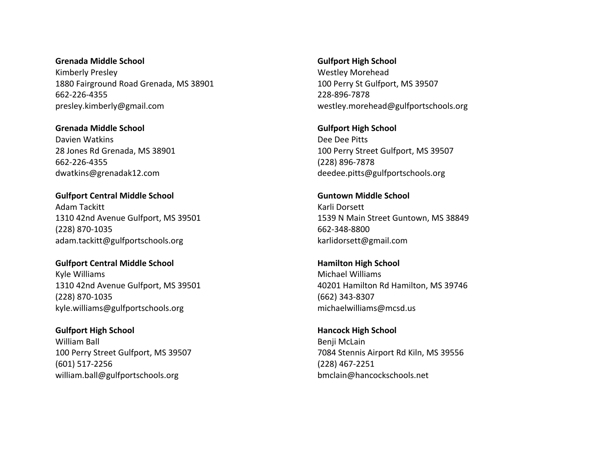**Grenada Middle School** Kimberly Presley 1880 Fairground Road Grenada, MS 38901 662-226-4355 presley.kimberly@gmail.com

**Grenada Middle School** Davien Watkins 28 Jones Rd Grenada, MS 38901 662-226-4355 dwatkins@grenadak12.com

**Gulfport Central Middle School** Adam Tackitt 1310 42nd Avenue Gulfport, MS 39501 (228) 870-1035 adam.tackitt@gulfportschools.org

**Gulfport Central Middle School** Kyle Williams 1310 42nd Avenue Gulfport, MS 39501 (228) 870-1035 kyle.williams@gulfportschools.org

**Gulfport High School** William Ball 100 Perry Street Gulfport, MS 39507 (601) 517-2256 william.ball@gulfportschools.org

**Gulfport High School** Westley Morehead 100 Perry St Gulfport, MS 39507 228-896-7878 westley.morehead@gulfportschools.org

**Gulfport High School** Dee Dee Pitts 100 Perry Street Gulfport, MS 39507 (228) 896-7878 deedee.pitts@gulfportschools.org

**Guntown Middle School** Karli Dorsett 1539 N Main Street Guntown, MS 38849 662-348-8800 karlidorsett@gmail.com

**Hamilton High School** Michael Williams 40201 Hamilton Rd Hamilton, MS 39746 (662) 343-8307 michaelwilliams@mcsd.us

**Hancock High School** Benji McLain 7084 Stennis Airport Rd Kiln, MS 39556 (228) 467-2251 bmclain@hancockschools.net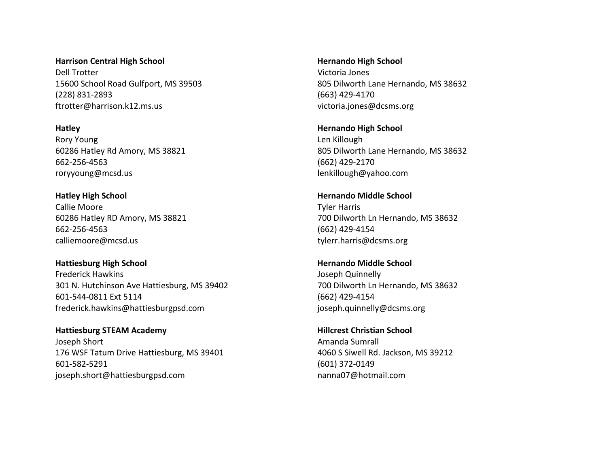**Harrison Central High School** Dell Trotter 15600 School Road Gulfport, MS 39503 (228) 831-2893 ftrotter@harrison.k12.ms.us

**Hatley** Rory Young 60286 Hatley Rd Amory, MS 38821 662-256-4563 roryyoung@mcsd.us

**Hatley High School** Callie Moore 60286 Hatley RD Amory, MS 38821 662-256-4563 calliemoore@mcsd.us

**Hattiesburg High School** Frederick Hawkins 301 N. Hutchinson Ave Hattiesburg, MS 39402 601-544-0811 Ext 5114 frederick.hawkins@hattiesburgpsd.com

**Hattiesburg STEAM Academy** Joseph Short 176 WSF Tatum Drive Hattiesburg, MS 39401 601-582-5291 joseph.short@hattiesburgpsd.com

**Hernando High School** Victoria Jones 805 Dilworth Lane Hernando, MS 38632 (663) 429-4170 victoria.jones@dcsms.org

**Hernando High School** Len Killough 805 Dilworth Lane Hernando, MS 38632 (662) 429-2170 lenkillough@yahoo.com

**Hernando Middle School** Tyler Harris 700 Dilworth Ln Hernando, MS 38632 (662) 429-4154 tylerr.harris@dcsms.org

**Hernando Middle School** Joseph Quinnelly 700 Dilworth Ln Hernando, MS 38632 (662) 429-4154 joseph.quinnelly@dcsms.org

**Hillcrest Christian School** Amanda Sumrall 4060 S Siwell Rd. Jackson, MS 39212 (601) 372-0149 nanna07@hotmail.com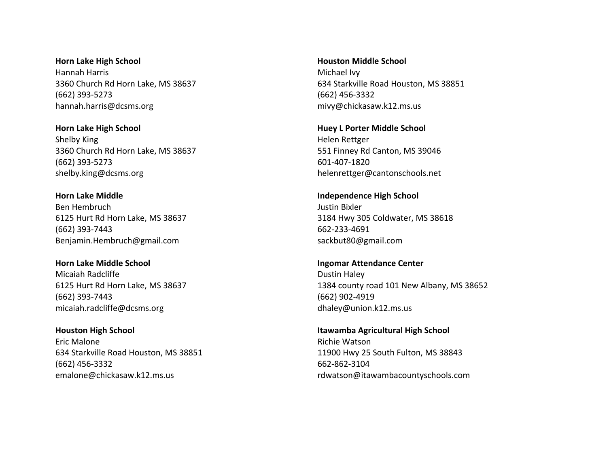**Horn Lake High School** Hannah Harris 3360 Church Rd Horn Lake, MS 38637 (662) 393-5273 hannah.harris@dcsms.org

**Horn Lake High School** Shelby King 3360 Church Rd Horn Lake, MS 38637 (662) 393-5273 shelby.king@dcsms.org

**Horn Lake Middle** Ben Hembruch 6125 Hurt Rd Horn Lake, MS 38637 (662) 393-7443 Benjamin.Hembruch@gmail.com

**Horn Lake Middle School** Micaiah Radcliffe 6125 Hurt Rd Horn Lake, MS 38637 (662) 393-7443 micaiah.radcliffe@dcsms.org

**Houston High School** Eric Malone 634 Starkville Road Houston, MS 38851 (662) 456-3332 emalone@chickasaw.k12.ms.us

**Houston Middle School** Michael Ivy 634 Starkville Road Houston, MS 38851 (662) 456-3332 mivy@chickasaw.k12.ms.us

**Huey L Porter Middle School** Helen Rettger 551 Finney Rd Canton, MS 39046 601-407-1820 helenrettger@cantonschools.net

**Independence High School** Justin Bixler 3184 Hwy 305 Coldwater, MS 38618 662-233-4691 sackbut80@gmail.com

**Ingomar Attendance Center** Dustin Haley 1384 county road 101 New Albany, MS 38652 (662) 902-4919 dhaley@union.k12.ms.us

**Itawamba Agricultural High School** Richie Watson 11900 Hwy 25 South Fulton, MS 38843 662-862-3104 rdwatson@itawambacountyschools.com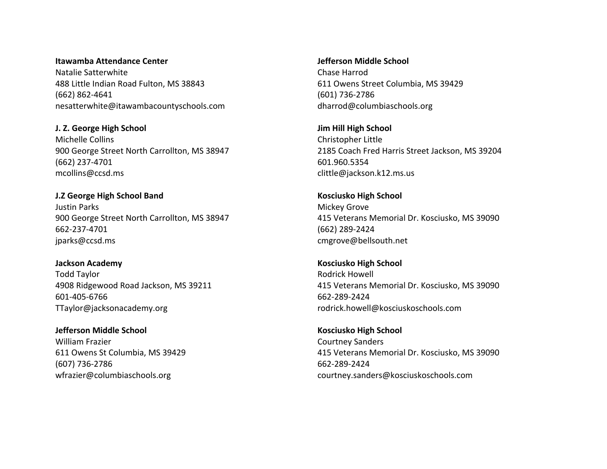**Itawamba Attendance Center** Natalie Satterwhite 488 Little Indian Road Fulton, MS 38843 (662) 862-4641 nesatterwhite@itawambacountyschools.com

**J. Z. George High School** Michelle Collins 900 George Street North Carrollton, MS 38947 (662) 237-4701 mcollins@ccsd.ms

**J.Z George High School Band** Justin Parks 900 George Street North Carrollton, MS 38947 662-237-4701 jparks@ccsd.ms

**Jackson Academy** Todd Taylor 4908 Ridgewood Road Jackson, MS 39211 601-405-6766 TTaylor@jacksonacademy.org

**Jefferson Middle School** William Frazier 611 Owens St Columbia, MS 39429 (607) 736-2786 wfrazier@columbiaschools.org

**Jefferson Middle School** Chase Harrod 611 Owens Street Columbia, MS 39429 (601) 736-2786 dharrod@columbiaschools.org

**Jim Hill High School** Christopher Little 2185 Coach Fred Harris Street Jackson, MS 39204 601.960.5354 clittle@jackson.k12.ms.us

**Kosciusko High School** Mickey Grove 415 Veterans Memorial Dr. Kosciusko, MS 39090 (662) 289-2424 cmgrove@bellsouth.net

**Kosciusko High School** Rodrick Howell 415 Veterans Memorial Dr. Kosciusko, MS 39090 662-289-2424 rodrick.howell@kosciuskoschools.com

**Kosciusko High School** Courtney Sanders 415 Veterans Memorial Dr. Kosciusko, MS 39090 662-289-2424 courtney.sanders@kosciuskoschools.com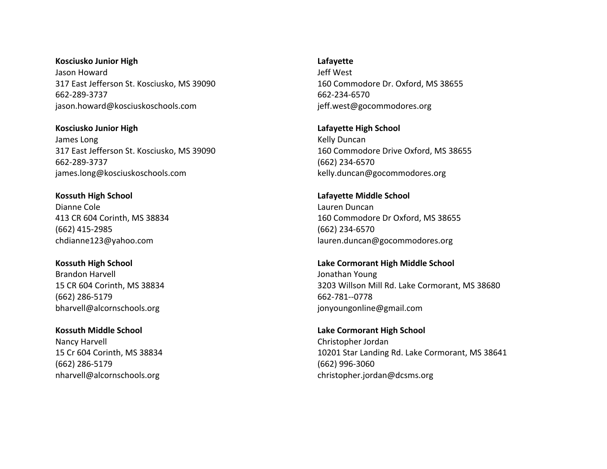**Kosciusko Junior High** Jason Howard 317 East Jefferson St. Kosciusko, MS 39090 662-289-3737 jason.howard@kosciuskoschools.com

**Kosciusko Junior High** James Long 317 East Jefferson St. Kosciusko, MS 39090 662-289-3737 james.long@kosciuskoschools.com

**Kossuth High School** Dianne Cole 413 CR 604 Corinth, MS 38834 (662) 415-2985 chdianne123@yahoo.com

**Kossuth High School** Brandon Harvell 15 CR 604 Corinth, MS 38834 (662) 286-5179 bharvell@alcornschools.org

**Kossuth Middle School** Nancy Harvell 15 Cr 604 Corinth, MS 38834 (662) 286-5179 nharvell@alcornschools.org

**Lafayette**

Jeff West 160 Commodore Dr. Oxford, MS 38655 662-234-6570 jeff.west@gocommodores.org

**Lafayette High School** Kelly Duncan 160 Commodore Drive Oxford, MS 38655 (662) 234-6570 kelly.duncan@gocommodores.org

**Lafayette Middle School** Lauren Duncan 160 Commodore Dr Oxford, MS 38655 (662) 234-6570 lauren.duncan@gocommodores.org

**Lake Cormorant High Middle School** Jonathan Young 3203 Willson Mill Rd. Lake Cormorant, MS 38680 662-781--0778 jonyoungonline@gmail.com

**Lake Cormorant High School** Christopher Jordan 10201 Star Landing Rd. Lake Cormorant, MS 38641 (662) 996-3060 christopher.jordan@dcsms.org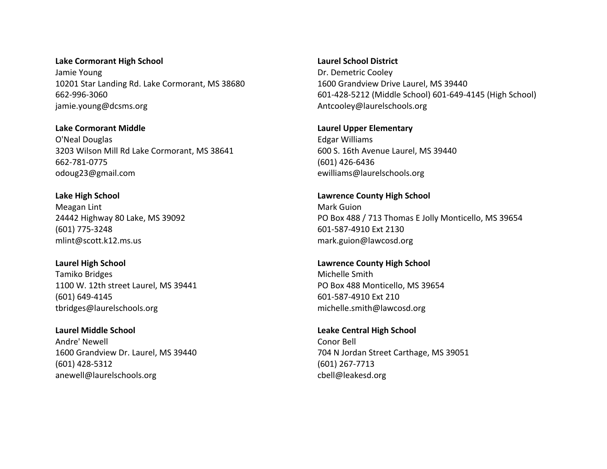**Lake Cormorant High School** Jamie Young 10201 Star Landing Rd. Lake Cormorant, MS 38680 662-996-3060 jamie.young@dcsms.org

**Lake Cormorant Middle** O'Neal Douglas 3203 Wilson Mill Rd Lake Cormorant, MS 38641 662-781-0775 odoug23@gmail.com

**Lake High School** Meagan Lint 24442 Highway 80 Lake, MS 39092 (601) 775-3248 mlint@scott.k12.ms.us

**Laurel High School** Tamiko Bridges 1100 W. 12th street Laurel, MS 39441 (601) 649-4145 tbridges@laurelschools.org

**Laurel Middle School** Andre' Newell 1600 Grandview Dr. Laurel, MS 39440 (601) 428-5312 anewell@laurelschools.org

**Laurel School District** Dr. Demetric Cooley 1600 Grandview Drive Laurel, MS 39440 601-428-5212 (Middle School) 601-649-4145 (High School) Antcooley@laurelschools.org

**Laurel Upper Elementary** Edgar Williams 600 S. 16th Avenue Laurel, MS 39440 (601) 426-6436 ewilliams@laurelschools.org

**Lawrence County High School** Mark Guion PO Box 488 / 713 Thomas E Jolly Monticello, MS 39654 601-587-4910 Ext 2130 mark.guion@lawcosd.org

**Lawrence County High School** Michelle Smith PO Box 488 Monticello, MS 39654 601-587-4910 Ext 210 michelle.smith@lawcosd.org

**Leake Central High School** Conor Bell 704 N Jordan Street Carthage, MS 39051 (601) 267-7713 cbell@leakesd.org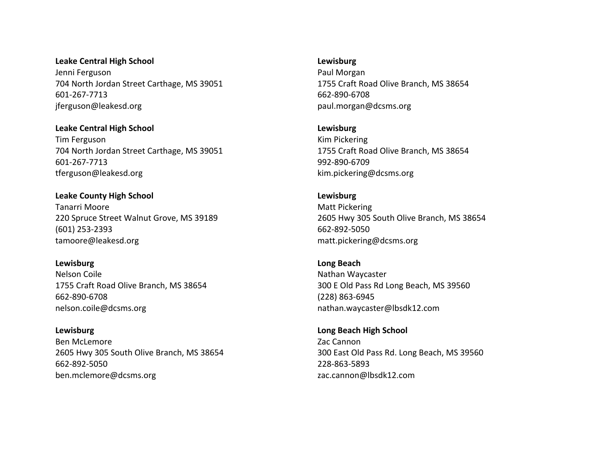**Leake Central High School** Jenni Ferguson 704 North Jordan Street Carthage, MS 39051 601-267-7713 jferguson@leakesd.org

**Leake Central High School** Tim Ferguson 704 North Jordan Street Carthage, MS 39051 601-267-7713 tferguson@leakesd.org

**Leake County High School** Tanarri Moore 220 Spruce Street Walnut Grove, MS 39189 (601) 253-2393 tamoore@leakesd.org

**Lewisburg** Nelson Coile 1755 Craft Road Olive Branch, MS 38654 662-890-6708 nelson.coile@dcsms.org

**Lewisburg** Ben McLemore 2605 Hwy 305 South Olive Branch, MS 38654 662-892-5050 ben.mclemore@dcsms.org

**Lewisburg**

Paul Morgan 1755 Craft Road Olive Branch, MS 38654 662-890-6708 paul.morgan@dcsms.org

**Lewisburg** Kim Pickering 1755 Craft Road Olive Branch, MS 38654 992-890-6709 kim.pickering@dcsms.org

**Lewisburg** Matt Pickering 2605 Hwy 305 South Olive Branch, MS 38654 662-892-5050 matt.pickering@dcsms.org

**Long Beach** Nathan Waycaster 300 E Old Pass Rd Long Beach, MS 39560 (228) 863-6945 nathan.waycaster@lbsdk12.com

**Long Beach High School** Zac Cannon 300 East Old Pass Rd. Long Beach, MS 39560 228-863-5893 zac.cannon@lbsdk12.com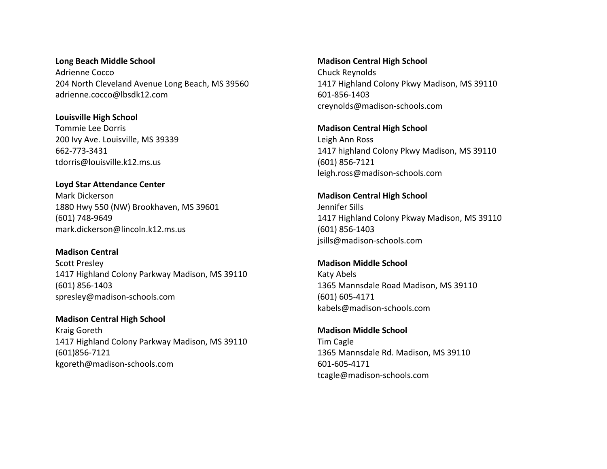**Long Beach Middle School** Adrienne Cocco 204 North Cleveland Avenue Long Beach, MS 39560 adrienne.cocco@lbsdk12.com

**Louisville High School** Tommie Lee Dorris 200 Ivy Ave. Louisville, MS 39339 662-773-3431 tdorris@louisville.k12.ms.us

**Loyd Star Attendance Center** Mark Dickerson 1880 Hwy 550 (NW) Brookhaven, MS 39601 (601) 748-9649 mark.dickerson@lincoln.k12.ms.us

**Madison Central** Scott Presley 1417 Highland Colony Parkway Madison, MS 39110 (601) 856-1403 spresley@madison-schools.com

**Madison Central High School** Kraig Goreth 1417 Highland Colony Parkway Madison, MS 39110 (601)856-7121 kgoreth@madison-schools.com

**Madison Central High School** Chuck Reynolds 1417 Highland Colony Pkwy Madison, MS 39110 601-856-1403 creynolds@madison-schools.com

**Madison Central High School** Leigh Ann Ross 1417 highland Colony Pkwy Madison, MS 39110 (601) 856-7121 leigh.ross@madison-schools.com

**Madison Central High School** Jennifer Sills 1417 Highland Colony Pkway Madison, MS 39110 (601) 856-1403 jsills@madison-schools.com

**Madison Middle School** Katy Abels 1365 Mannsdale Road Madison, MS 39110 (601) 605-4171 kabels@madison-schools.com

**Madison Middle School** Tim Cagle 1365 Mannsdale Rd. Madison, MS 39110 601-605-4171 tcagle@madison-schools.com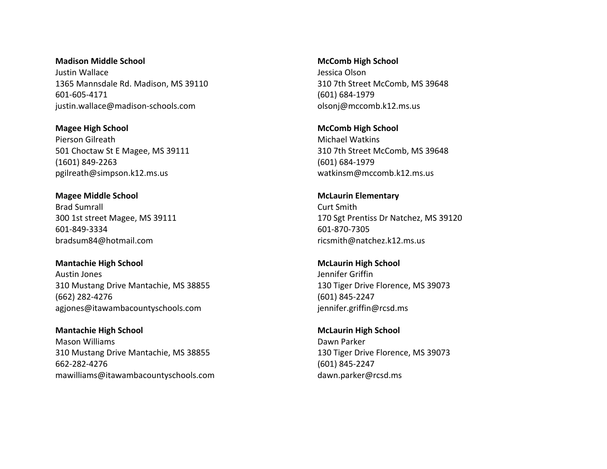**Madison Middle School** Justin Wallace 1365 Mannsdale Rd. Madison, MS 39110 601-605-4171 justin.wallace@madison-schools.com

**Magee High School** Pierson Gilreath 501 Choctaw St E Magee, MS 39111 (1601) 849-2263 pgilreath@simpson.k12.ms.us

**Magee Middle School** Brad Sumrall 300 1st street Magee, MS 39111 601-849-3334 bradsum84@hotmail.com

**Mantachie High School** Austin Jones 310 Mustang Drive Mantachie, MS 38855 (662) 282-4276 agjones@itawambacountyschools.com

**Mantachie High School** Mason Williams 310 Mustang Drive Mantachie, MS 38855 662-282-4276 mawilliams@itawambacountyschools.com **McComb High School** Jessica Olson 310 7th Street McComb, MS 39648 (601) 684-1979 olsonj@mccomb.k12.ms.us

**McComb High School** Michael Watkins 310 7th Street McComb, MS 39648 (601) 684-1979 watkinsm@mccomb.k12.ms.us

**McLaurin Elementary** Curt Smith 170 Sgt Prentiss Dr Natchez, MS 39120 601-870-7305 ricsmith@natchez.k12.ms.us

**McLaurin High School** Jennifer Griffin 130 Tiger Drive Florence, MS 39073 (601) 845-2247 jennifer.griffin@rcsd.ms

**McLaurin High School** Dawn Parker 130 Tiger Drive Florence, MS 39073 (601) 845-2247 dawn.parker@rcsd.ms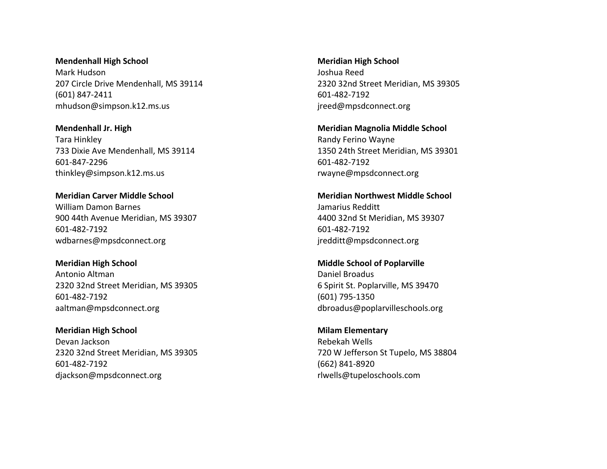**Mendenhall High School** Mark Hudson 207 Circle Drive Mendenhall, MS 39114 (601) 847-2411 mhudson@simpson.k12.ms.us

**Mendenhall Jr. High** Tara Hinkley 733 Dixie Ave Mendenhall, MS 39114 601-847-2296 thinkley@simpson.k12.ms.us

**Meridian Carver Middle School** William Damon Barnes 900 44th Avenue Meridian, MS 39307 601-482-7192 wdbarnes@mpsdconnect.org

**Meridian High School** Antonio Altman 2320 32nd Street Meridian, MS 39305 601-482-7192 aaltman@mpsdconnect.org

**Meridian High School** Devan Jackson 2320 32nd Street Meridian, MS 39305 601-482-7192 djackson@mpsdconnect.org

**Meridian High School** Joshua Reed 2320 32nd Street Meridian, MS 39305 601-482-7192 jreed@mpsdconnect.org

**Meridian Magnolia Middle School** Randy Ferino Wayne 1350 24th Street Meridian, MS 39301 601-482-7192 rwayne@mpsdconnect.org

**Meridian Northwest Middle School** Jamarius Redditt 4400 32nd St Meridian, MS 39307 601-482-7192 jredditt@mpsdconnect.org

**Middle School of Poplarville** Daniel Broadus 6 Spirit St. Poplarville, MS 39470 (601) 795-1350 dbroadus@poplarvilleschools.org

**Milam Elementary** Rebekah Wells 720 W Jefferson St Tupelo, MS 38804 (662) 841-8920 rlwells@tupeloschools.com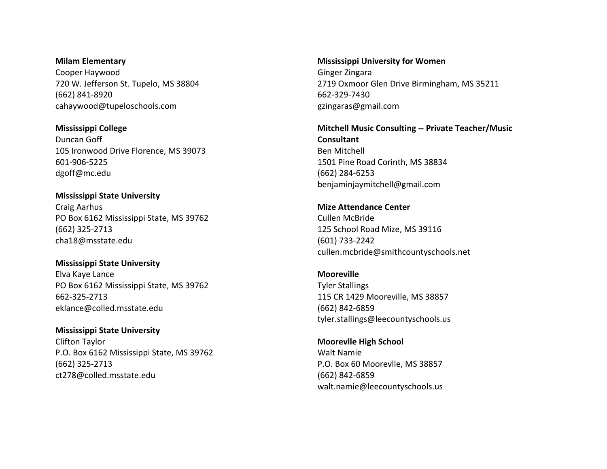**Milam Elementary**  Cooper Haywood 720 W. Jefferson St. Tupelo, MS 38804 (662) 841-8920 cahaywood@tupeloschools.com

**Mississippi College** Duncan Goff 105 Ironwood Drive Florence, MS 39073 601-906-5225 dgoff@mc.edu

**Mississippi State University** Craig Aarhus PO Box 6162 Mississippi State, MS 39762 (662) 325-2713 cha18@msstate.edu

**Mississippi State University** Elva Kaye Lance PO Box 6162 Mississippi State, MS 39762 662-325-2713 eklance@colled.msstate.edu

**Mississippi State University** Clifton Taylor P.O. Box 6162 Mississippi State, MS 39762 (662) 325-2713 ct278@colled.msstate.edu

**Mississippi University for Women** Ginger Zingara 2719 Oxmoor Glen Drive Birmingham, MS 35211 662-329-7430 gzingaras@gmail.com

**Mitchell Music Consulting -- Private Teacher/Music Consultant** Ben Mitchell 1501 Pine Road Corinth, MS 38834 (662) 284-6253 benjaminjaymitchell@gmail.com

**Mize Attendance Center** Cullen McBride 125 School Road Mize, MS 39116 (601) 733-2242 cullen.mcbride@smithcountyschools.net

**Mooreville** Tyler Stallings 115 CR 1429 Mooreville, MS 38857 (662) 842-6859 tyler.stallings@leecountyschools.us

**Moorevlle High School** Walt Namie P.O. Box 60 Moorevlle, MS 38857 (662) 842-6859 walt.namie@leecountyschools.us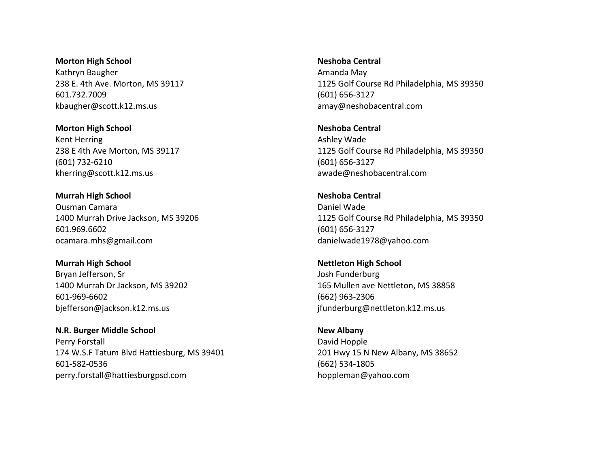**Morton High School** Kathryn Baugher 238 E. 4th Ave. Morton, MS 39117 601.732.7009 kbaugher@scott.k12.ms.us

**Morton High School** Kent Herring 238 E 4th Ave Morton, MS 39117 (601) 732-6210 kherring@scott.k12.ms.us

**Murrah High School** Ousman Camara 1400 Murrah Drive Jackson, MS 39206 601.969.6602 ocamara.mhs@gmail.com

**Murrah High School** Bryan Jefferson, Sr 1400 Murrah Dr Jackson, MS 39202 601-969-6602 bjefferson@jackson.k12.ms.us

**N.R. Burger Middle School** Perry Forstall 174 W.S.F Tatum Blvd Hattiesburg, MS 39401 601-582-0536 perry.forstall@hattiesburgpsd.com

**Neshoba Central** Amanda May 1125 Golf Course Rd Philadelphia, MS 39350 (601) 656-3127 amay@neshobacentral.com

**Neshoba Central** Ashley Wade 1125 Golf Course Rd Philadelphia, MS 39350 (601) 656-3127 awade@neshobacentral.com

**Neshoba Central** Daniel Wade 1125 Golf Course Rd Philadelphia, MS 39350 (601) 656-3127 danielwade1978@yahoo.com

**Nettleton High School** Josh Funderburg 165 Mullen ave Nettleton, MS 38858 (662) 963-2306 jfunderburg@nettleton.k12.ms.us

**New Albany** David Hopple 201 Hwy 15 N New Albany, MS 38652 (662) 534-1805 hoppleman@yahoo.com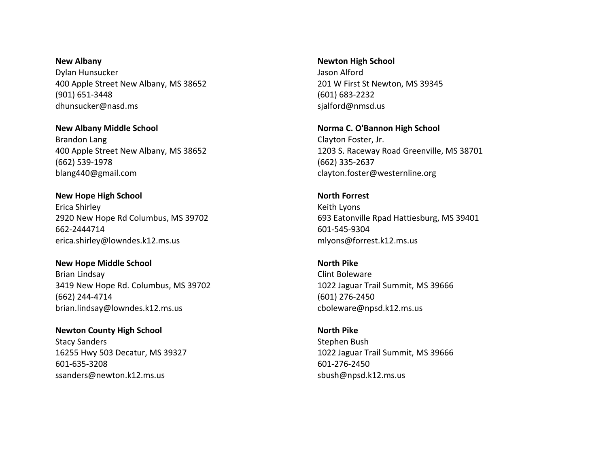**New Albany** Dylan Hunsucker 400 Apple Street New Albany, MS 38652 (901) 651-3448 dhunsucker@nasd.ms

**New Albany Middle School** Brandon Lang 400 Apple Street New Albany, MS 38652 (662) 539-1978 blang440@gmail.com

**New Hope High School** Erica Shirley 2920 New Hope Rd Columbus, MS 39702 662-2444714 erica.shirley@lowndes.k12.ms.us

**New Hope Middle School** Brian Lindsay 3419 New Hope Rd. Columbus, MS 39702 (662) 244-4714 brian.lindsay@lowndes.k12.ms.us

**Newton County High School** Stacy Sanders 16255 Hwy 503 Decatur, MS 39327 601-635-3208 ssanders@newton.k12.ms.us

**Newton High School** Jason Alford 201 W First St Newton, MS 39345 (601) 683-2232 sjalford@nmsd.us

**Norma C. O'Bannon High School** Clayton Foster, Jr. 1203 S. Raceway Road Greenville, MS 38701 (662) 335-2637 clayton.foster@westernline.org

**North Forrest** Keith Lyons 693 Eatonville Rpad Hattiesburg, MS 39401 601-545-9304 mlyons@forrest.k12.ms.us

**North Pike** Clint Boleware 1022 Jaguar Trail Summit, MS 39666 (601) 276-2450 cboleware@npsd.k12.ms.us

**North Pike** Stephen Bush 1022 Jaguar Trail Summit, MS 39666 601-276-2450 sbush@npsd.k12.ms.us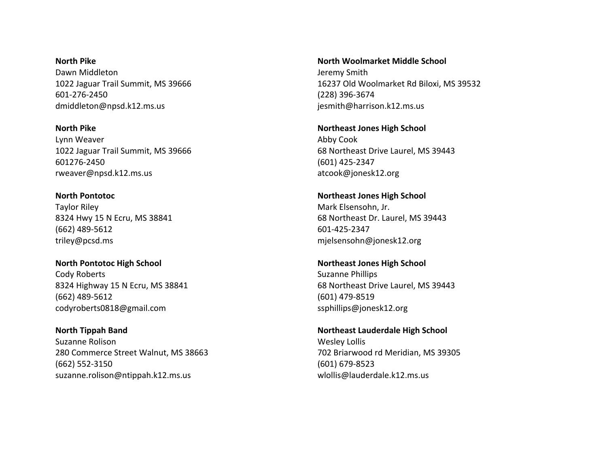**North Pike** Dawn Middleton 1022 Jaguar Trail Summit, MS 39666 601-276-2450 dmiddleton@npsd.k12.ms.us

**North Pike** Lynn Weaver 1022 Jaguar Trail Summit, MS 39666 601276-2450 rweaver@npsd.k12.ms.us

**North Pontotoc** Taylor Riley 8324 Hwy 15 N Ecru, MS 38841 (662) 489-5612 triley@pcsd.ms

**North Pontotoc High School** Cody Roberts 8324 Highway 15 N Ecru, MS 38841 (662) 489-5612 codyroberts0818@gmail.com

**North Tippah Band** Suzanne Rolison 280 Commerce Street Walnut, MS 38663 (662) 552-3150 suzanne.rolison@ntippah.k12.ms.us

**North Woolmarket Middle School** Jeremy Smith 16237 Old Woolmarket Rd Biloxi, MS 39532 (228) 396-3674 jesmith@harrison.k12.ms.us

**Northeast Jones High School** Abby Cook 68 Northeast Drive Laurel, MS 39443 (601) 425-2347 atcook@jonesk12.org

**Northeast Jones High School** Mark Elsensohn, Jr. 68 Northeast Dr. Laurel, MS 39443 601-425-2347 mjelsensohn@jonesk12.org

**Northeast Jones High School** Suzanne Phillips 68 Northeast Drive Laurel, MS 39443 (601) 479-8519 ssphillips@jonesk12.org

**Northeast Lauderdale High School** Wesley Lollis 702 Briarwood rd Meridian, MS 39305 (601) 679-8523 wlollis@lauderdale.k12.ms.us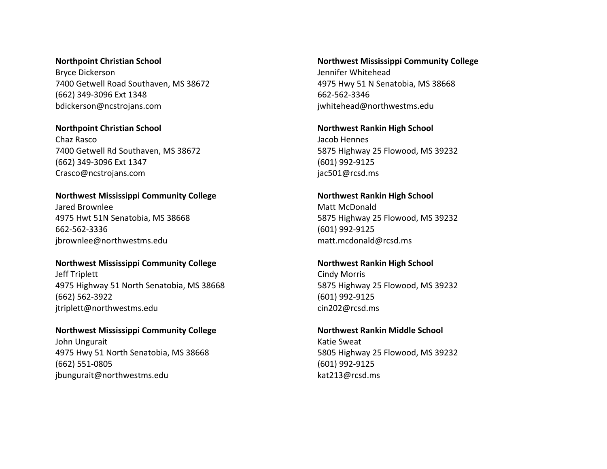### **Northpoint Christian School**

Bryce Dickerson 7400 Getwell Road Southaven, MS 38672 (662) 349-3096 Ext 1348 bdickerson@ncstrojans.com

## **Northpoint Christian School**

Chaz Rasco 7400 Getwell Rd Southaven, MS 38672 (662) 349-3096 Ext 1347 Crasco@ncstrojans.com

## **Northwest Mississippi Community College**

Jared Brownlee 4975 Hwt 51N Senatobia, MS 38668 662-562-3336 jbrownlee@northwestms.edu

## **Northwest Mississippi Community College**

Jeff Triplett 4975 Highway 51 North Senatobia, MS 38668 (662) 562-3922 jtriplett@northwestms.edu

## **Northwest Mississippi Community College** John Ungurait

4975 Hwy 51 North Senatobia, MS 38668 (662) 551-0805 jbungurait@northwestms.edu

# **Northwest Mississippi Community College** Jennifer Whitehead 4975 Hwy 51 N Senatobia, MS 38668 662-562-3346 jwhitehead@northwestms.edu

**Northwest Rankin High School** Jacob Hennes 5875 Highway 25 Flowood, MS 39232 (601) 992-9125 jac501@rcsd.ms

# **Northwest Rankin High School** Matt McDonald 5875 Highway 25 Flowood, MS 39232 (601) 992-9125 matt.mcdonald@rcsd.ms

# **Northwest Rankin High School** Cindy Morris 5875 Highway 25 Flowood, MS 39232 (601) 992-9125 cin202@rcsd.ms

# **Northwest Rankin Middle School**

Katie Sweat 5805 Highway 25 Flowood, MS 39232 (601) 992-9125 kat213@rcsd.ms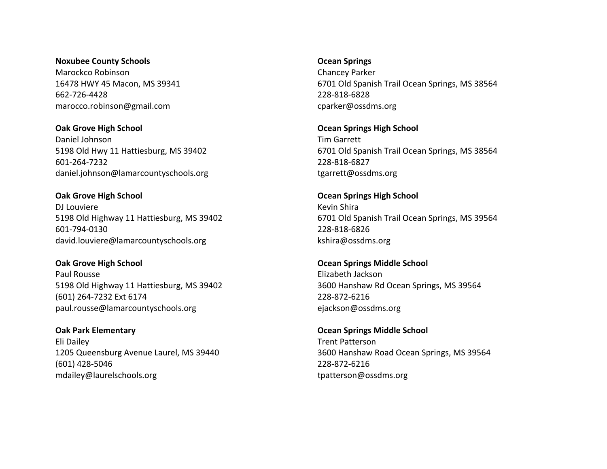**Noxubee County Schools** Marockco Robinson 16478 HWY 45 Macon, MS 39341 662-726-4428 marocco.robinson@gmail.com

**Oak Grove High School** Daniel Johnson 5198 Old Hwy 11 Hattiesburg, MS 39402 601-264-7232 daniel.johnson@lamarcountyschools.org

**Oak Grove High School** DJ Louviere 5198 Old Highway 11 Hattiesburg, MS 39402 601-794-0130 david.louviere@lamarcountyschools.org

**Oak Grove High School** Paul Rousse 5198 Old Highway 11 Hattiesburg, MS 39402 (601) 264-7232 Ext 6174 paul.rousse@lamarcountyschools.org

**Oak Park Elementary** Eli Dailey 1205 Queensburg Avenue Laurel, MS 39440 (601) 428-5046 mdailey@laurelschools.org

**Ocean Springs**

Chancey Parker 6701 Old Spanish Trail Ocean Springs, MS 38564 228-818-6828 cparker@ossdms.org

**Ocean Springs High School** Tim Garrett 6701 Old Spanish Trail Ocean Springs, MS 38564 228-818-6827 tgarrett@ossdms.org

**Ocean Springs High School** Kevin Shira 6701 Old Spanish Trail Ocean Springs, MS 39564 228-818-6826 kshira@ossdms.org

**Ocean Springs Middle School** Elizabeth Jackson 3600 Hanshaw Rd Ocean Springs, MS 39564 228-872-6216 ejackson@ossdms.org

**Ocean Springs Middle School** Trent Patterson 3600 Hanshaw Road Ocean Springs, MS 39564 228-872-6216 tpatterson@ossdms.org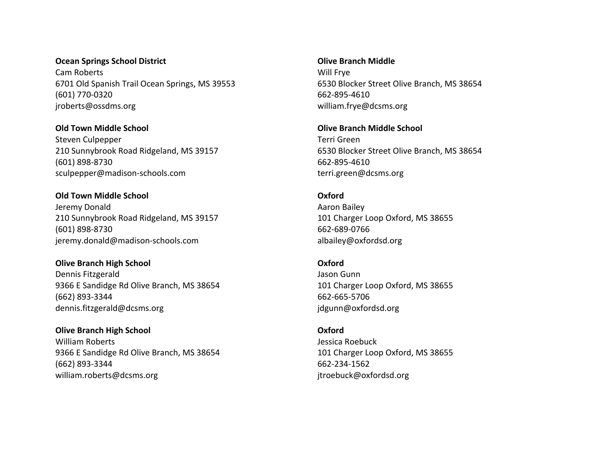# **Ocean Springs School District** Cam Roberts 6701 Old Spanish Trail Ocean Springs, MS 39553 (601) 770-0320 jroberts@ossdms.org

**Old Town Middle School** Steven Culpepper 210 Sunnybrook Road Ridgeland, MS 39157 (601) 898-8730 sculpepper@madison-schools.com

**Old Town Middle School** Jeremy Donald 210 Sunnybrook Road Ridgeland, MS 39157 (601) 898-8730 jeremy.donald@madison-schools.com

**Olive Branch High School** Dennis Fitzgerald 9366 E Sandidge Rd Olive Branch, MS 38654 (662) 893-3344 dennis.fitzgerald@dcsms.org

**Olive Branch High School** William Roberts 9366 E Sandidge Rd Olive Branch, MS 38654 (662) 893-3344 william.roberts@dcsms.org

**Olive Branch Middle** Will Frye 6530 Blocker Street Olive Branch, MS 38654 662-895-4610 william.frye@dcsms.org

**Olive Branch Middle School** Terri Green 6530 Blocker Street Olive Branch, MS 38654 662-895-4610 terri.green@dcsms.org

**Oxford** Aaron Bailey 101 Charger Loop Oxford, MS 38655 662-689-0766 albailey@oxfordsd.org

**Oxford** Jason Gunn 101 Charger Loop Oxford, MS 38655 662-665-5706 jdgunn@oxfordsd.org

**Oxford** Jessica Roebuck 101 Charger Loop Oxford, MS 38655 662-234-1562 jtroebuck@oxfordsd.org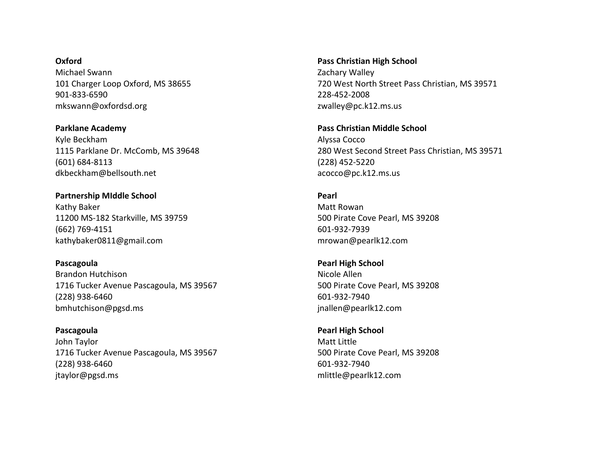**Oxford** Michael Swann 101 Charger Loop Oxford, MS 38655 901-833-6590 mkswann@oxfordsd.org

**Parklane Academy** Kyle Beckham 1115 Parklane Dr. McComb, MS 39648 (601) 684-8113 dkbeckham@bellsouth.net

**Partnership MIddle School** Kathy Baker 11200 MS-182 Starkville, MS 39759 (662) 769-4151 kathybaker0811@gmail.com

**Pascagoula** Brandon Hutchison 1716 Tucker Avenue Pascagoula, MS 39567 (228) 938-6460 bmhutchison@pgsd.ms

**Pascagoula** John Taylor 1716 Tucker Avenue Pascagoula, MS 39567 (228) 938-6460 jtaylor@pgsd.ms

**Pass Christian High School** Zachary Walley 720 West North Street Pass Christian, MS 39571 228-452-2008 zwalley@pc.k12.ms.us

**Pass Christian Middle School** Alyssa Cocco 280 West Second Street Pass Christian, MS 39571 (228) 452-5220 acocco@pc.k12.ms.us

**Pearl** Matt Rowan 500 Pirate Cove Pearl, MS 39208 601-932-7939 mrowan@pearlk12.com

**Pearl High School** Nicole Allen 500 Pirate Cove Pearl, MS 39208 601-932-7940 jnallen@pearlk12.com

**Pearl High School** Matt Little 500 Pirate Cove Pearl, MS 39208 601-932-7940 mlittle@pearlk12.com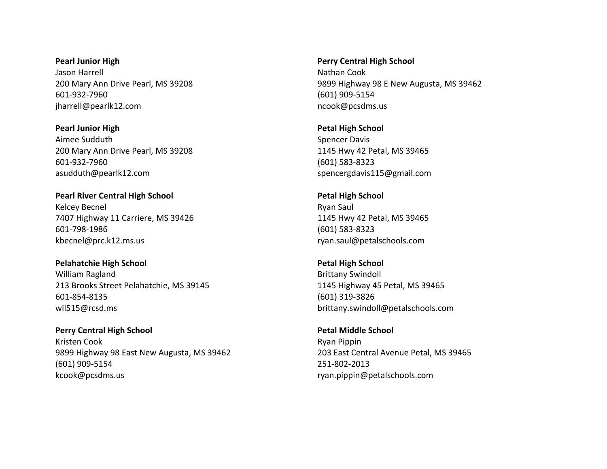**Pearl Junior High** Jason Harrell 200 Mary Ann Drive Pearl, MS 39208 601-932-7960 jharrell@pearlk12.com

**Pearl Junior High** Aimee Sudduth 200 Mary Ann Drive Pearl, MS 39208 601-932-7960 asudduth@pearlk12.com

**Pearl River Central High School** Kelcey Becnel 7407 Highway 11 Carriere, MS 39426 601-798-1986 kbecnel@prc.k12.ms.us

**Pelahatchie High School** William Ragland 213 Brooks Street Pelahatchie, MS 39145 601-854-8135 wil515@rcsd.ms

**Perry Central High School** Kristen Cook 9899 Highway 98 East New Augusta, MS 39462 (601) 909-5154 kcook@pcsdms.us

**Perry Central High School** Nathan Cook 9899 Highway 98 E New Augusta, MS 39462 (601) 909-5154 ncook@pcsdms.us

**Petal High School** Spencer Davis 1145 Hwy 42 Petal, MS 39465 (601) 583-8323 spencergdavis115@gmail.com

**Petal High School** Ryan Saul 1145 Hwy 42 Petal, MS 39465 (601) 583-8323 ryan.saul@petalschools.com

**Petal High School** Brittany Swindoll 1145 Highway 45 Petal, MS 39465 (601) 319-3826 brittany.swindoll@petalschools.com

**Petal Middle School** Ryan Pippin 203 East Central Avenue Petal, MS 39465 251-802-2013 ryan.pippin@petalschools.com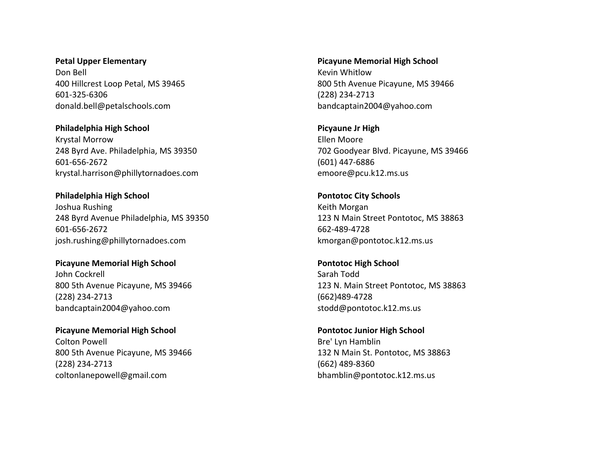**Petal Upper Elementary** Don Bell 400 Hillcrest Loop Petal, MS 39465 601-325-6306 donald.bell@petalschools.com

**Philadelphia High School** Krystal Morrow 248 Byrd Ave. Philadelphia, MS 39350 601-656-2672 krystal.harrison@phillytornadoes.com

**Philadelphia High School** Joshua Rushing 248 Byrd Avenue Philadelphia, MS 39350 601-656-2672 josh.rushing@phillytornadoes.com

**Picayune Memorial High School** John Cockrell 800 5th Avenue Picayune, MS 39466 (228) 234-2713 bandcaptain2004@yahoo.com

**Picayune Memorial High School** Colton Powell 800 5th Avenue Picayune, MS 39466 (228) 234-2713 coltonlanepowell@gmail.com

**Picayune Memorial High School** Kevin Whitlow 800 5th Avenue Picayune, MS 39466 (228) 234-2713 bandcaptain2004@yahoo.com

**Picyaune Jr High** Ellen Moore 702 Goodyear Blvd. Picayune, MS 39466 (601) 447-6886 emoore@pcu.k12.ms.us

**Pontotoc City Schools** Keith Morgan 123 N Main Street Pontotoc, MS 38863 662-489-4728 kmorgan@pontotoc.k12.ms.us

**Pontotoc High School** Sarah Todd 123 N. Main Street Pontotoc, MS 38863 (662)489-4728 stodd@pontotoc.k12.ms.us

**Pontotoc Junior High School** Bre' Lyn Hamblin 132 N Main St. Pontotoc, MS 38863 (662) 489-8360 bhamblin@pontotoc.k12.ms.us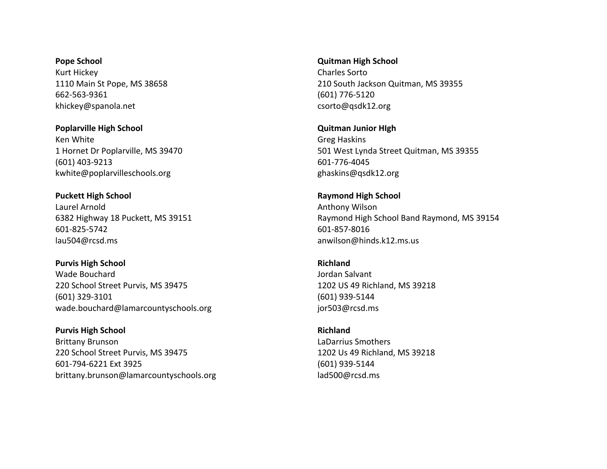**Pope School** Kurt Hickey 1110 Main St Pope, MS 38658 662-563-9361 khickey@spanola.net

**Poplarville High School** Ken White 1 Hornet Dr Poplarville, MS 39470 (601) 403-9213 kwhite@poplarvilleschools.org

**Puckett High School** Laurel Arnold 6382 Highway 18 Puckett, MS 39151 601-825-5742 lau504@rcsd.ms

**Purvis High School** Wade Bouchard 220 School Street Purvis, MS 39475 (601) 329-3101 wade.bouchard@lamarcountyschools.org

**Purvis High School** Brittany Brunson 220 School Street Purvis, MS 39475 601-794-6221 Ext 3925 brittany.brunson@lamarcountyschools.org

**Quitman High School** Charles Sorto 210 South Jackson Quitman, MS 39355 (601) 776-5120 csorto@qsdk12.org

**Quitman Junior HIgh** Greg Haskins 501 West Lynda Street Quitman, MS 39355 601-776-4045 ghaskins@qsdk12.org

**Raymond High School** Anthony Wilson Raymond High School Band Raymond, MS 39154 601-857-8016 anwilson@hinds.k12.ms.us

**Richland** Jordan Salvant 1202 US 49 Richland, MS 39218 (601) 939-5144 jor503@rcsd.ms

**Richland** LaDarrius Smothers 1202 Us 49 Richland, MS 39218 (601) 939-5144 lad500@rcsd.ms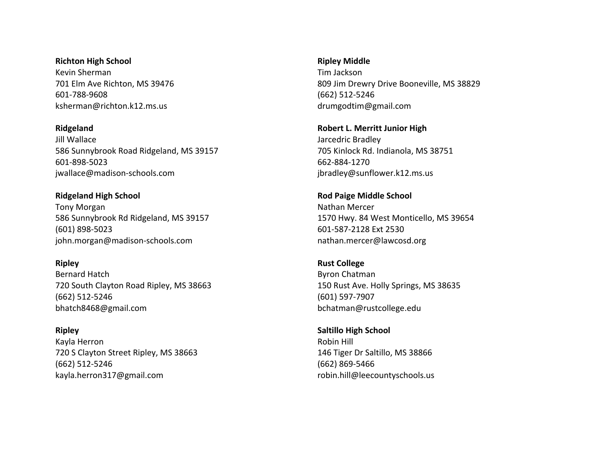**Richton High School** Kevin Sherman 701 Elm Ave Richton, MS 39476 601-788-9608

ksherman@richton.k12.ms.us

**Ridgeland**

Jill Wallace 586 Sunnybrook Road Ridgeland, MS 39157 601-898-5023 jwallace@madison-schools.com

**Ridgeland High School** Tony Morgan 586 Sunnybrook Rd Ridgeland, MS 39157 (601) 898-5023 john.morgan@madison-schools.com

**Ripley**

Bernard Hatch 720 South Clayton Road Ripley, MS 38663 (662) 512-5246 bhatch8468@gmail.com

**Ripley** Kayla Herron 720 S Clayton Street Ripley, MS 38663 (662) 512-5246 kayla.herron317@gmail.com

**Ripley Middle**

Tim Jackson 809 Jim Drewry Drive Booneville, MS 38829 (662) 512-5246 drumgodtim@gmail.com

**Robert L. Merritt Junior High** Jarcedric Bradley 705 Kinlock Rd. Indianola, MS 38751 662-884-1270 jbradley@sunflower.k12.ms.us

**Rod Paige Middle School**  Nathan Mercer 1570 Hwy. 84 West Monticello, MS 39654 601-587-2128 Ext 2530 nathan.mercer@lawcosd.org

**Rust College** Byron Chatman 150 Rust Ave. Holly Springs, MS 38635 (601) 597-7907 bchatman@rustcollege.edu

**Saltillo High School** Robin Hill 146 Tiger Dr Saltillo, MS 38866 (662) 869-5466 robin.hill@leecountyschools.us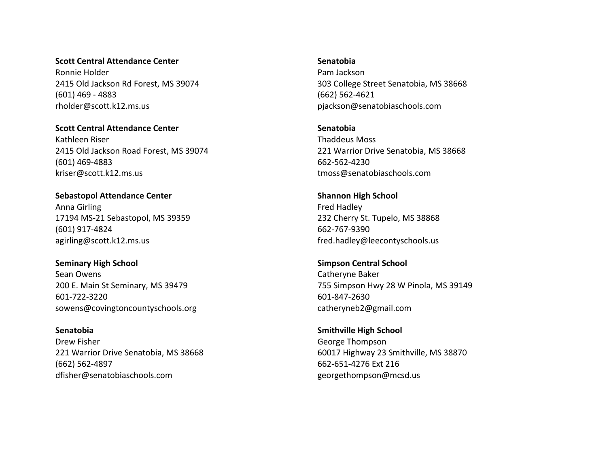### **Scott Central Attendance Center**

Ronnie Holder 2415 Old Jackson Rd Forest, MS 39074 (601) 469 - 4883 rholder@scott.k12.ms.us

**Scott Central Attendance Center** Kathleen Riser 2415 Old Jackson Road Forest, MS 39074 (601) 469-4883 kriser@scott.k12.ms.us

**Sebastopol Attendance Center** Anna Girling 17194 MS-21 Sebastopol, MS 39359 (601) 917-4824 agirling@scott.k12.ms.us

**Seminary High School** Sean Owens 200 E. Main St Seminary, MS 39479 601-722-3220 sowens@covingtoncountyschools.org

**Senatobia** Drew Fisher 221 Warrior Drive Senatobia, MS 38668 (662) 562-4897 dfisher@senatobiaschools.com

**Senatobia**

Pam Jackson 303 College Street Senatobia, MS 38668 (662) 562-4621 pjackson@senatobiaschools.com

**Senatobia** Thaddeus Moss 221 Warrior Drive Senatobia, MS 38668 662-562-4230 tmoss@senatobiaschools.com

**Shannon High School** Fred Hadley 232 Cherry St. Tupelo, MS 38868 662-767-9390 fred.hadley@leecontyschools.us

**Simpson Central School** Catheryne Baker 755 Simpson Hwy 28 W Pinola, MS 39149 601-847-2630 catheryneb2@gmail.com

**Smithville High School** George Thompson 60017 Highway 23 Smithville, MS 38870 662-651-4276 Ext 216 georgethompson@mcsd.us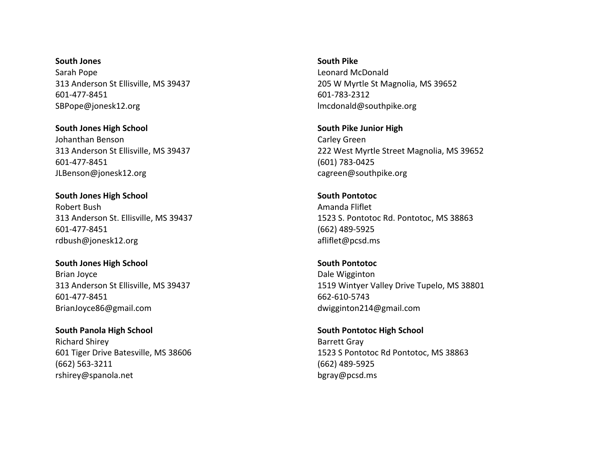**South Jones** Sarah Pope 313 Anderson St Ellisville, MS 39437 601-477-8451 SBPope@jonesk12.org

**South Jones High School** Johanthan Benson 313 Anderson St Ellisville, MS 39437 601-477-8451 JLBenson@jonesk12.org

**South Jones High School** Robert Bush 313 Anderson St. Ellisville, MS 39437 601-477-8451 rdbush@jonesk12.org

**South Jones High School** Brian Joyce 313 Anderson St Ellisville, MS 39437 601-477-8451 BrianJoyce86@gmail.com

**South Panola High School** Richard Shirey 601 Tiger Drive Batesville, MS 38606 (662) 563-3211 rshirey@spanola.net

**South Pike** Leonard McDonald 205 W Myrtle St Magnolia, MS 39652 601-783-2312 lmcdonald@southpike.org

**South Pike Junior High** Carley Green 222 West Myrtle Street Magnolia, MS 39652 (601) 783-0425 cagreen@southpike.org

**South Pontotoc** Amanda Fliflet 1523 S. Pontotoc Rd. Pontotoc, MS 38863 (662) 489-5925 afliflet@pcsd.ms

**South Pontotoc** Dale Wigginton 1519 Wintyer Valley Drive Tupelo, MS 38801 662-610-5743 dwigginton214@gmail.com

**South Pontotoc High School** Barrett Gray 1523 S Pontotoc Rd Pontotoc, MS 38863 (662) 489-5925 bgray@pcsd.ms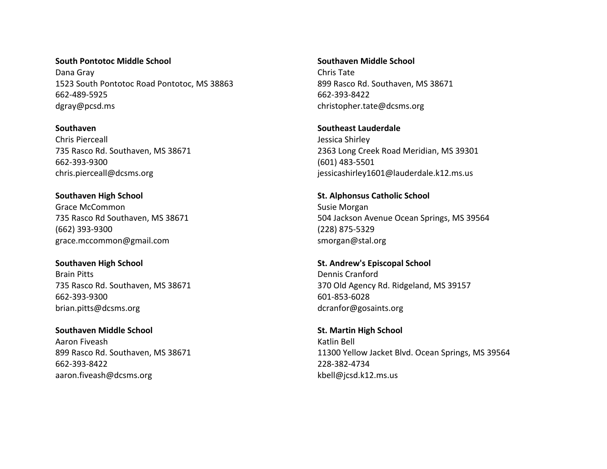**South Pontotoc Middle School** Dana Gray 1523 South Pontotoc Road Pontotoc, MS 38863 662-489-5925 dgray@pcsd.ms

**Southaven** Chris Pierceall 735 Rasco Rd. Southaven, MS 38671 662-393-9300 chris.pierceall@dcsms.org

**Southaven High School** Grace McCommon 735 Rasco Rd Southaven, MS 38671 (662) 393-9300 grace.mccommon@gmail.com

**Southaven High School** Brain Pitts 735 Rasco Rd. Southaven, MS 38671 662-393-9300 brian.pitts@dcsms.org

**Southaven Middle School** Aaron Fiveash 899 Rasco Rd. Southaven, MS 38671 662-393-8422 aaron.fiveash@dcsms.org

**Southaven Middle School** Chris Tate 899 Rasco Rd. Southaven, MS 38671 662-393-8422 christopher.tate@dcsms.org

**Southeast Lauderdale** Jessica Shirley 2363 Long Creek Road Meridian, MS 39301 (601) 483-5501 jessicashirley1601@lauderdale.k12.ms.us

**St. Alphonsus Catholic School** Susie Morgan 504 Jackson Avenue Ocean Springs, MS 39564 (228) 875-5329 smorgan@stal.org

**St. Andrew's Episcopal School** Dennis Cranford 370 Old Agency Rd. Ridgeland, MS 39157 601-853-6028 dcranfor@gosaints.org

**St. Martin High School** Katlin Bell 11300 Yellow Jacket Blvd. Ocean Springs, MS 39564 228-382-4734 kbell@jcsd.k12.ms.us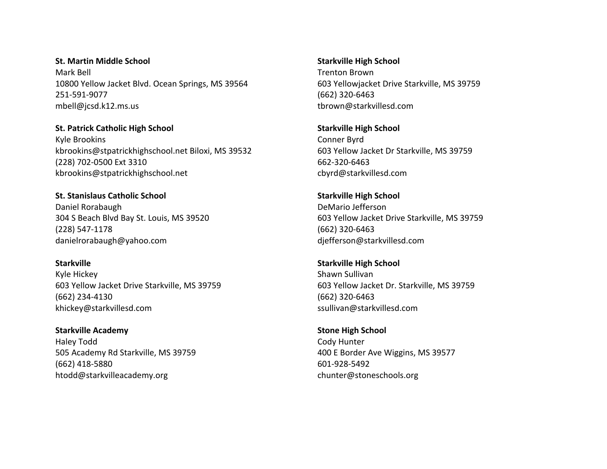**St. Martin Middle School** Mark Bell 10800 Yellow Jacket Blvd. Ocean Springs, MS 39564 251-591-9077 mbell@jcsd.k12.ms.us

**St. Patrick Catholic High School** Kyle Brookins kbrookins@stpatrickhighschool.net Biloxi, MS 39532 (228) 702-0500 Ext 3310 kbrookins@stpatrickhighschool.net

**St. Stanislaus Catholic School** Daniel Rorabaugh 304 S Beach Blvd Bay St. Louis, MS 39520 (228) 547-1178 danielrorabaugh@yahoo.com

**Starkville** Kyle Hickey 603 Yellow Jacket Drive Starkville, MS 39759 (662) 234-4130

khickey@starkvillesd.com

**Starkville Academy** Haley Todd 505 Academy Rd Starkville, MS 39759 (662) 418-5880 htodd@starkvilleacademy.org

**Starkville High School** Trenton Brown 603 Yellowjacket Drive Starkville, MS 39759 (662) 320-6463 tbrown@starkvillesd.com

**Starkville High School** Conner Byrd 603 Yellow Jacket Dr Starkville, MS 39759 662-320-6463 cbyrd@starkvillesd.com

**Starkville High School** DeMario Jefferson 603 Yellow Jacket Drive Starkville, MS 39759 (662) 320-6463 djefferson@starkvillesd.com

**Starkville High School** Shawn Sullivan 603 Yellow Jacket Dr. Starkville, MS 39759 (662) 320-6463 ssullivan@starkvillesd.com

**Stone High School** Cody Hunter 400 E Border Ave Wiggins, MS 39577 601-928-5492 chunter@stoneschools.org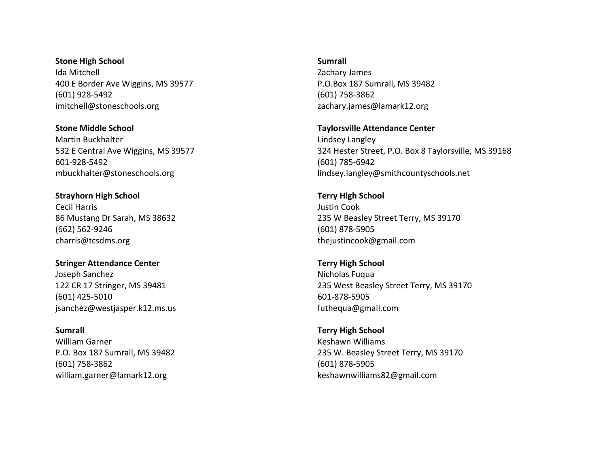**Stone High School** Ida Mitchell 400 E Border Ave Wiggins, MS 39577 (601) 928-5492 imitchell@stoneschools.org

**Stone Middle School** Martin Buckhalter 532 E Central Ave Wiggins, MS 39577 601-928-5492 mbuckhalter@stoneschools.org

**Strayhorn High School** Cecil Harris 86 Mustang Dr Sarah, MS 38632 (662) 562-9246 charris@tcsdms.org

**Stringer Attendance Center** Joseph Sanchez 122 CR 17 Stringer, MS 39481 (601) 425-5010 jsanchez@westjasper.k12.ms.us

**Sumrall** William Garner P.O. Box 187 Sumrall, MS 39482 (601) 758-3862 william.garner@lamark12.org

**Sumrall**

Zachary James P.O.Box 187 Sumrall, MS 39482 (601) 758-3862 zachary.james@lamark12.org

**Taylorsville Attendance Center** Lindsey Langley 324 Hester Street, P.O. Box 8 Taylorsville, MS 39168 (601) 785-6942 lindsey.langley@smithcountyschools.net

**Terry High School** Justin Cook 235 W Beasley Street Terry, MS 39170 (601) 878-5905 thejustincook@gmail.com

**Terry High School** Nicholas Fuqua 235 West Beasley Street Terry, MS 39170 601-878-5905 futhequa@gmail.com

**Terry High School** Keshawn Williams 235 W. Beasley Street Terry, MS 39170 (601) 878-5905 keshawnwilliams82@gmail.com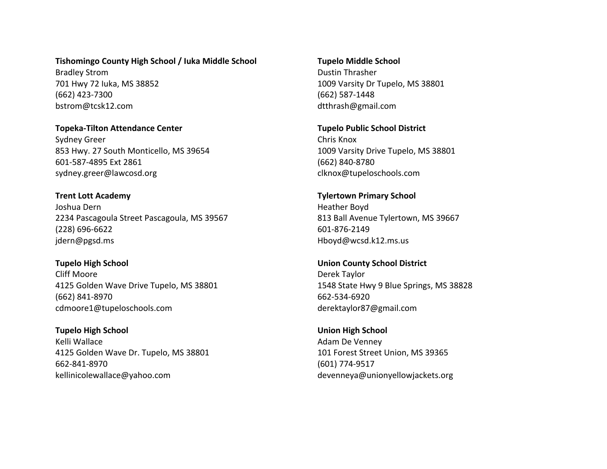**Tishomingo County High School / Iuka Middle School**

Bradley Strom 701 Hwy 72 Iuka, MS 38852 (662) 423-7300 bstrom@tcsk12.com

**Topeka-Tilton Attendance Center** Sydney Greer 853 Hwy. 27 South Monticello, MS 39654 601-587-4895 Ext 2861 sydney.greer@lawcosd.org

**Trent Lott Academy** Joshua Dern 2234 Pascagoula Street Pascagoula, MS 39567 (228) 696-6622 jdern@pgsd.ms

**Tupelo High School** Cliff Moore 4125 Golden Wave Drive Tupelo, MS 38801 (662) 841-8970 cdmoore1@tupeloschools.com

**Tupelo High School** Kelli Wallace 4125 Golden Wave Dr. Tupelo, MS 38801 662-841-8970 kellinicolewallace@yahoo.com

**Tupelo Middle School** Dustin Thrasher 1009 Varsity Dr Tupelo, MS 38801 (662) 587-1448 dtthrash@gmail.com

**Tupelo Public School District** Chris Knox 1009 Varsity Drive Tupelo, MS 38801 (662) 840-8780 clknox@tupeloschools.com

**Tylertown Primary School** Heather Boyd 813 Ball Avenue Tylertown, MS 39667 601-876-2149 Hboyd@wcsd.k12.ms.us

**Union County School District** Derek Taylor 1548 State Hwy 9 Blue Springs, MS 38828 662-534-6920 derektaylor87@gmail.com

**Union High School** Adam De Venney 101 Forest Street Union, MS 39365 (601) 774-9517 devenneya@unionyellowjackets.org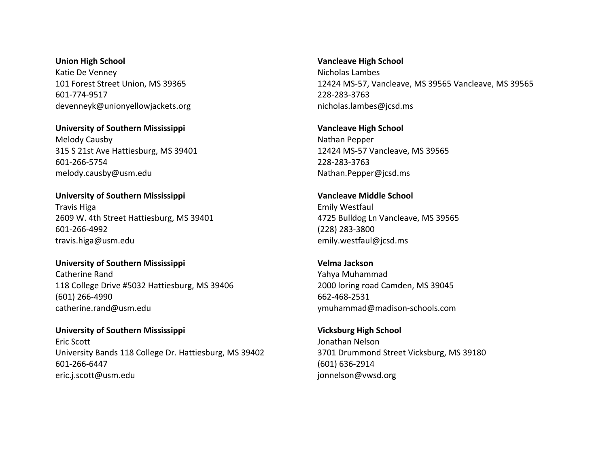**Union High School** Katie De Venney 101 Forest Street Union, MS 39365 601-774-9517 devenneyk@unionyellowjackets.org

**University of Southern Mississippi** Melody Causby 315 S 21st Ave Hattiesburg, MS 39401 601-266-5754 melody.causby@usm.edu

**University of Southern Mississippi** Travis Higa 2609 W. 4th Street Hattiesburg, MS 39401 601-266-4992 travis.higa@usm.edu

**University of Southern Mississippi** Catherine Rand 118 College Drive #5032 Hattiesburg, MS 39406 (601) 266-4990 catherine.rand@usm.edu

**University of Southern Mississippi** Eric Scott University Bands 118 College Dr. Hattiesburg, MS 39402 601-266-6447 eric.j.scott@usm.edu

**Vancleave High School** Nicholas Lambes 12424 MS-57, Vancleave, MS 39565 Vancleave, MS 39565 228-283-3763 nicholas.lambes@jcsd.ms

**Vancleave High School** Nathan Pepper 12424 MS-57 Vancleave, MS 39565 228-283-3763 Nathan.Pepper@jcsd.ms

**Vancleave Middle School** Emily Westfaul 4725 Bulldog Ln Vancleave, MS 39565 (228) 283-3800 emily.westfaul@jcsd.ms

**Velma Jackson** Yahya Muhammad 2000 loring road Camden, MS 39045 662-468-2531 ymuhammad@madison-schools.com

**Vicksburg High School** Jonathan Nelson 3701 Drummond Street Vicksburg, MS 39180 (601) 636-2914 jonnelson@vwsd.org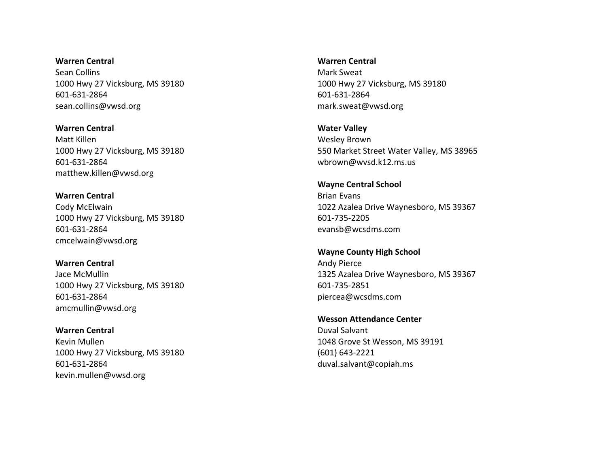**Warren Central** Sean Collins 1000 Hwy 27 Vicksburg, MS 39180 601-631-2864 sean.collins@vwsd.org

**Warren Central** Matt Killen 1000 Hwy 27 Vicksburg, MS 39180 601-631-2864 matthew.killen@vwsd.org

**Warren Central** Cody McElwain 1000 Hwy 27 Vicksburg, MS 39180 601-631-2864 cmcelwain@vwsd.org

**Warren Central** Jace McMullin 1000 Hwy 27 Vicksburg, MS 39180 601-631-2864 amcmullin@vwsd.org

**Warren Central** Kevin Mullen 1000 Hwy 27 Vicksburg, MS 39180 601-631-2864 kevin.mullen@vwsd.org

**Warren Central**

Mark Sweat 1000 Hwy 27 Vicksburg, MS 39180 601-631-2864 mark.sweat@vwsd.org

**Water Valley** Wesley Brown 550 Market Street Water Valley, MS 38965 wbrown@wvsd.k12.ms.us

**Wayne Central School** Brian Evans 1022 Azalea Drive Waynesboro, MS 39367 601-735-2205 evansb@wcsdms.com

**Wayne County High School**  Andy Pierce 1325 Azalea Drive Waynesboro, MS 39367 601-735-2851 piercea@wcsdms.com

**Wesson Attendance Center** Duval Salvant 1048 Grove St Wesson, MS 39191 (601) 643-2221 duval.salvant@copiah.ms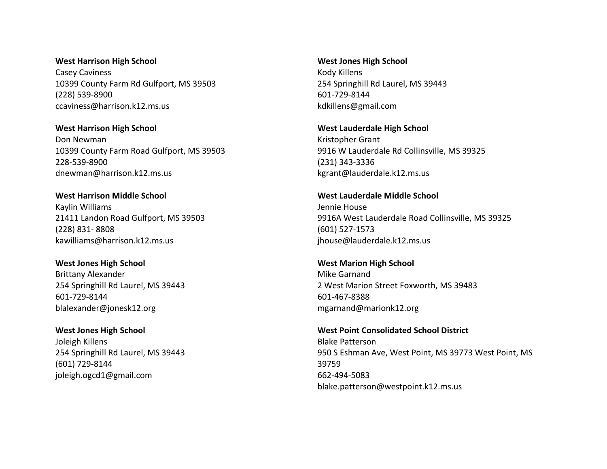#### **West Harrison High School**

Casey Caviness 10399 County Farm Rd Gulfport, MS 39503 (228) 539-8900 ccaviness@harrison.k12.ms.us

**West Harrison High School** Don Newman 10399 County Farm Road Gulfport, MS 39503 228-539-8900 dnewman@harrison.k12.ms.us

**West Harrison Middle School** Kaylin Williams 21411 Landon Road Gulfport, MS 39503 (228) 831- 8808 kawilliams@harrison.k12.ms.us

**West Jones High School** Brittany Alexander 254 Springhill Rd Laurel, MS 39443 601-729-8144 blalexander@jonesk12.org

**West Jones High School** Joleigh Killens 254 Springhill Rd Laurel, MS 39443 (601) 729-8144 joleigh.ogcd1@gmail.com

**West Jones High School** Kody Killens 254 Springhill Rd Laurel, MS 39443 601-729-8144 kdkillens@gmail.com

**West Lauderdale High School** Kristopher Grant 9916 W Lauderdale Rd Collinsville, MS 39325 (231) 343-3336 kgrant@lauderdale.k12.ms.us

**West Lauderdale Middle School** Jennie House 9916A West Lauderdale Road Collinsville, MS 39325 (601) 527-1573 jhouse@lauderdale.k12.ms.us

**West Marion High School** Mike Garnand 2 West Marion Street Foxworth, MS 39483 601-467-8388 mgarnand@marionk12.org

**West Point Consolidated School District** Blake Patterson 950 S Eshman Ave, West Point, MS 39773 West Point, MS 39759 662-494-5083 blake.patterson@westpoint.k12.ms.us